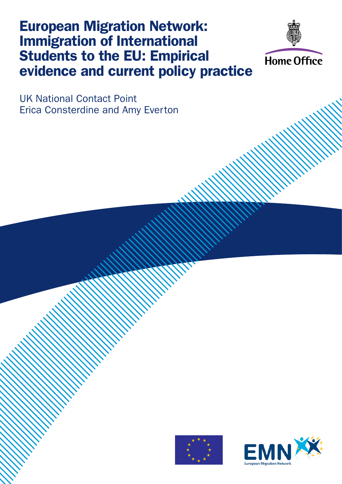# European Migration Network: Immigration of International Students to the EU: Empirical evidence and current policy practice



UK National Contact Point Erica Consterdine and Amy Everton



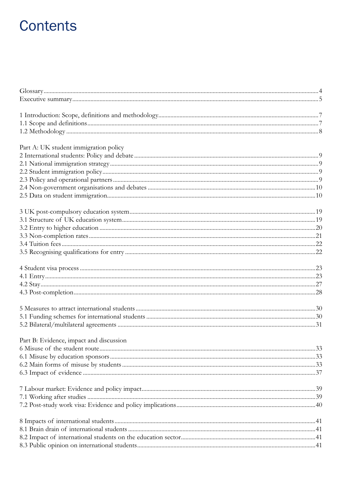# **Contents**

| Part A: UK student immigration policy   |  |
|-----------------------------------------|--|
|                                         |  |
|                                         |  |
|                                         |  |
|                                         |  |
|                                         |  |
|                                         |  |
|                                         |  |
|                                         |  |
|                                         |  |
|                                         |  |
|                                         |  |
|                                         |  |
|                                         |  |
|                                         |  |
|                                         |  |
|                                         |  |
|                                         |  |
|                                         |  |
|                                         |  |
|                                         |  |
|                                         |  |
| Part B: Evidence, impact and discussion |  |
|                                         |  |
|                                         |  |
|                                         |  |
|                                         |  |
|                                         |  |
|                                         |  |
|                                         |  |
|                                         |  |
|                                         |  |
|                                         |  |
|                                         |  |
|                                         |  |
|                                         |  |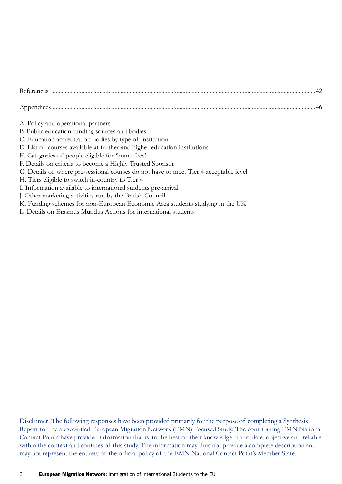- A. Policy and operational partners
- B. Public education funding sources and bodies
- C. Education accreditation bodies by type of institution
- D. List of courses available at further and higher education institutions
- E. Categories of people eligible for 'home fees'
- F. Details on criteria to become a Highly Trusted Sponsor
- G. Details of where pre-sessional courses do not have to meet Tier 4 acceptable level
- H. Tiers eligible to switch in-country to Tier 4
- I. Information available to international students pre-arrival
- J. Other marketing activities run by the British Council
- K. Funding schemes for non-European Economic Area students studying in the UK
- L. Details on Erasmus Mundus Actions for international students

Disclaimer: The following responses have been provided primarily for the purpose of completing a Synthesis Report for the above-titled European Migration Network (EMN) Focused Study. The contributing EMN National Contact Points have provided information that is, to the best of their knowledge, up-to-date, objective and reliable within the context and confines of this study. The information may thus not provide a complete description and may not represent the entirety of the official policy of the EMN National Contact Point's Member State.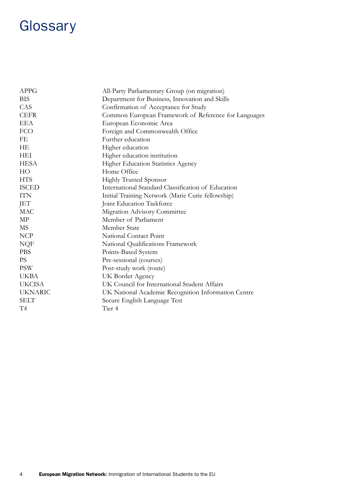# **Glossary**

| <b>APPG</b>    | All-Party Parliamentary Group (on migration)         |
|----------------|------------------------------------------------------|
| <b>BIS</b>     | Department for Business, Innovation and Skills       |
| CAS            | Confirmation of Acceptance for Study                 |
| <b>CEFR</b>    | Common European Framework of Reference for Languages |
| <b>EEA</b>     | European Economic Area                               |
| <b>FCO</b>     | Foreign and Commonwealth Office                      |
| FE             | Further education                                    |
| HE             | Higher education                                     |
| HEI            | Higher education institution                         |
| <b>HESA</b>    | <b>Higher Education Statistics Agency</b>            |
| HO             | Home Office                                          |
| <b>HTS</b>     | <b>Highly Trusted Sponsor</b>                        |
| <b>ISCED</b>   | International Standard Classification of Education   |
| <b>ITN</b>     | Initial Training Network (Marie Curie fellowship)    |
| JET            | Joint Education Taskforce                            |
| <b>MAC</b>     | Migration Advisory Committee                         |
| MP             | Member of Parliament                                 |
| MS             | <b>Member State</b>                                  |
| <b>NCP</b>     | National Contact Point                               |
| NQF            | National Qualifications Framework                    |
| <b>PBS</b>     | Points-Based System                                  |
| <b>PS</b>      | Pre-sessional (courses)                              |
| <b>PSW</b>     | Post-study work (route)                              |
| <b>UKBA</b>    | UK Border Agency                                     |
| <b>UKCISA</b>  | UK Council for International Student Affairs         |
| <b>UKNARIC</b> | UK National Academic Recognition Information Centre  |
| <b>SELT</b>    | Secure English Language Test                         |
| T <sub>4</sub> | Tier 4                                               |
|                |                                                      |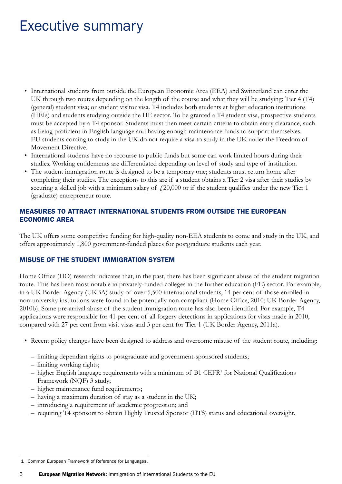## Executive summary

- • International students from outside the European Economic Area (EEA) and Switzerland can enter the UK through two routes depending on the length of the course and what they will be studying: Tier 4 (T4) (general) student visa; or student visitor visa. T4 includes both students at higher education institutions (HEIs) and students studying outside the HE sector. To be granted a T4 student visa, prospective students must be accepted by a T4 sponsor. Students must then meet certain criteria to obtain entry clearance, such as being proficient in English language and having enough maintenance funds to support themselves. EU students coming to study in the UK do not require a visa to study in the UK under the Freedom of Movement Directive.
- International students have no recourse to public funds but some can work limited hours during their studies. Working entitlements are differentiated depending on level of study and type of institution.
- The student immigration route is designed to be a temporary one; students must return home after completing their studies. The exceptions to this are if a student obtains a Tier 2 visa after their studies by securing a skilled job with a minimum salary of  $\text{\emph{f}}20,000$  or if the student qualifies under the new Tier 1 (graduate) entrepreneur route.

### MEASURES TO ATTRACT INTERNATIONAL STUDENTS FROM OUTSIDE THE EUROPEAN ECONOMIC AREA

The UK offers some competitive funding for high-quality non-EEA students to come and study in the UK, and offers approximately 1,800 government-funded places for postgraduate students each year.

### MISUSE OF THE STUDENT IMMIGRATION SYSTEM

Home Office (HO) research indicates that, in the past, there has been significant abuse of the student migration route. This has been most notable in privately-funded colleges in the further education (FE) sector. For example, in a UK Border Agency (UKBA) study of over 5,500 international students, 14 per cent of those enrolled in non-university institutions were found to be potentially non-compliant (Home Office, 2010; UK Border Agency, 2010b). Some pre-arrival abuse of the student immigration route has also been identified. For example, T4 applications were responsible for 41 per cent of all forgery detections in applications for visas made in 2010, compared with 27 per cent from visit visas and 3 per cent for Tier 1 (UK Border Agency, 2011a).

- • Recent policy changes have been designed to address and overcome misuse of the student route, including:
	- limiting dependant rights to postgraduate and government-sponsored students;
	- limiting working rights;
	- higher English language requirements with a minimum of B1 CEFR1 for National Qualifications Framework (NQF) 3 study;
	- higher maintenance fund requirements;
	- having a maximum duration of stay as a student in the UK;
	- introducing a requirement of academic progression; and
	- requiring T4 sponsors to obtain Highly Trusted Sponsor (HTS) status and educational oversight.

 <sup>1</sup> Common European Framework of Reference for Languages.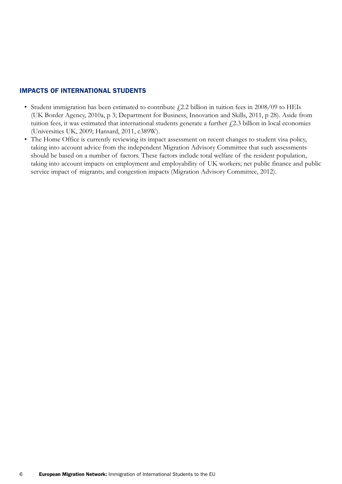### IMPACTS OF INTERNATIONAL STUDENTS

- Student immigration has been estimated to contribute  $f(2.2)$  billion in tuition fees in 2008/09 to HEIs (UK Border Agency, 2010a, p 3; Department for Business, Innovation and Skills, 2011, p 28). Aside from tuition fees, it was estimated that international students generate a further  $f(2.3)$  billion in local economies (Universities UK, 2009; Hansard, 2011, c389W).
- The Home Office is currently reviewing its impact assessment on recent changes to student visa policy, taking into account advice from the independent Migration Advisory Committee that such assessments should be based on a number of factors. These factors include total welfare of the resident population, taking into account impacts on employment and employability of UK workers; net public finance and public service impact of migrants; and congestion impacts (Migration Advisory Committee, 2012).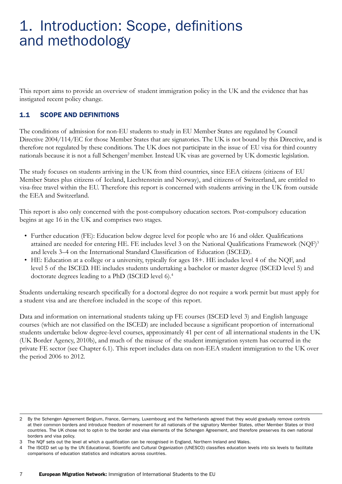# 1. Introduction: Scope, definitions and methodology

This report aims to provide an overview of student immigration policy in the UK and the evidence that has instigated recent policy change.

### 1.1 SCOPE AND DEFINITIONS

The conditions of admission for non-EU students to study in EU Member States are regulated by Council Directive 2004/114/EC for those Member States that are signatories. The UK is not bound by this Directive, and is therefore not regulated by these conditions. The UK does not participate in the issue of EU visa for third country nationals because it is not a full Schengen<sup>2</sup> member. Instead UK visas are governed by UK domestic legislation.

The study focuses on students arriving in the UK from third countries, since EEA citizens (citizens of EU Member States plus citizens of Iceland, Liechtenstein and Norway), and citizens of Switzerland, are entitled to visa-free travel within the EU. Therefore this report is concerned with students arriving in the UK from outside the EEA and Switzerland.

This report is also only concerned with the post-compulsory education sectors. Post-compulsory education begins at age 16 in the UK and comprises two stages.

- Further education (FE): Education below degree level for people who are 16 and older. Qualifications attained are needed for entering HE. FE includes level 3 on the National Qualifications Framework (NQF)<sup>3</sup> and levels 3–4 on the International Standard Classification of Education (ISCED).
- HE: Education at a college or a university, typically for ages 18+. HE includes level 4 of the NQF, and level 5 of the ISCED. HE includes students undertaking a bachelor or master degree (ISCED level 5) and doctorate degrees leading to a PhD (ISCED level 6).4

Students undertaking research specifically for a doctoral degree do not require a work permit but must apply for a student visa and are therefore included in the scope of this report.

Data and information on international students taking up FE courses (ISCED level 3) and English language courses (which are not classified on the ISCED) are included because a significant proportion of international students undertake below degree-level courses, approximately 41 per cent of all international students in the UK (UK Border Agency, 2010b), and much of the misuse of the student immigration system has occurred in the private FE sector (see Chapter 6.1). This report includes data on non-EEA student immigration to the UK over the period 2006 to 2012.

<sup>2</sup> By the Schengen Agreement Belgium, France, Germany, Luxembourg and the Netherlands agreed that they would gradually remove controls at their common borders and introduce freedom of movement for all nationals of the signatory Member States, other Member States or third countries. The UK chose not to opt-in to the border and visa elements of the Schengen Agreement, and therefore preserves its own national borders and visa policy.

The NQF sets out the level at which a qualification can be recognised in England, Northern Ireland and Wales.

<sup>4</sup> The ISCED set up by the UN Educational, Scientific and Cultural Organization (UNESCO) classifies education levels into six levels to facilitate comparisons of education statistics and indicators across countries.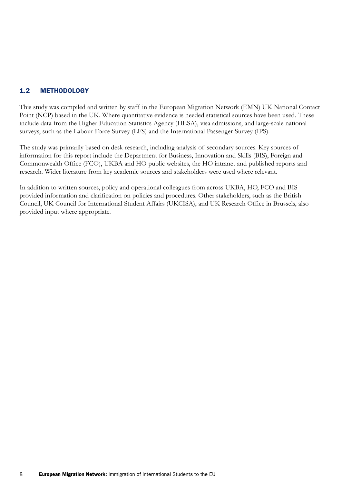### 1.2 METHODOLOGY

This study was compiled and written by staff in the European Migration Network (EMN) UK National Contact Point (NCP) based in the UK. Where quantitative evidence is needed statistical sources have been used. These include data from the Higher Education Statistics Agency (HESA), visa admissions, and large-scale national surveys, such as the Labour Force Survey (LFS) and the International Passenger Survey (IPS).

The study was primarily based on desk research, including analysis of secondary sources. Key sources of information for this report include the Department for Business, Innovation and Skills (BIS), Foreign and Commonwealth Office (FCO), UKBA and HO public websites, the HO intranet and published reports and research. Wider literature from key academic sources and stakeholders were used where relevant.

In addition to written sources, policy and operational colleagues from across UKBA, HO, FCO and BIS provided information and clarification on policies and procedures. Other stakeholders, such as the British Council, UK Council for International Student Affairs (UKCISA), and UK Research Office in Brussels, also provided input where appropriate.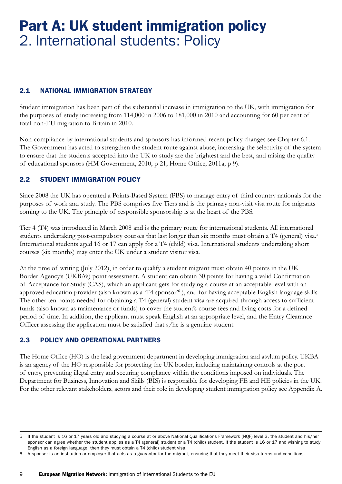# Part A: UK student immigration policy 2. International students: Policy

### 2.1 NATIONAL IMMIGRATION STRATEGY

Student immigration has been part of the substantial increase in immigration to the UK, with immigration for the purposes of study increasing from 114,000 in 2006 to 181,000 in 2010 and accounting for 60 per cent of total non-EU migration to Britain in 2010.

Non-compliance by international students and sponsors has informed recent policy changes see Chapter 6.1. The Government has acted to strengthen the student route against abuse, increasing the selectivity of the system to ensure that the students accepted into the UK to study are the brightest and the best, and raising the quality of educational sponsors (HM Government, 2010, p 21; Home Office, 2011a, p 9).

### 2.2 STUDENT IMMIGRATION POLICY

Since 2008 the UK has operated a Points-Based System (PBS) to manage entry of third country nationals for the purposes of work and study. The PBS comprises five Tiers and is the primary non-visit visa route for migrants coming to the UK. The principle of responsible sponsorship is at the heart of the PBS.

Tier 4 (T4) was introduced in March 2008 and is the primary route for international students. All international students undertaking post-compulsory courses that last longer than six months must obtain a T4 (general) visa.<sup>5</sup> International students aged 16 or 17 can apply for a T4 (child) visa. International students undertaking short courses (six months) may enter the UK under a student visitor visa.

At the time of writing (July 2012), in order to qualify a student migrant must obtain 40 points in the UK Border Agency's (UKBA's) point assessment. A student can obtain 30 points for having a valid Confirmation of Acceptance for Study (CAS), which an applicant gets for studying a course at an acceptable level with an approved education provider (also known as a 'T4 sponsor'<sup>6</sup>), and for having acceptable English language skills. The other ten points needed for obtaining a T4 (general) student visa are acquired through access to sufficient funds (also known as maintenance or funds) to cover the student's course fees and living costs for a defined period of time. In addition, the applicant must speak English at an appropriate level, and the Entry Clearance Officer assessing the application must be satisfied that s/he is a genuine student.

### 2.3 POLICY AND OPERATIONAL PARTNERS

The Home Office (HO) is the lead government department in developing immigration and asylum policy. UKBA is an agency of the HO responsible for protecting the UK border, including maintaining controls at the port of entry, preventing illegal entry and securing compliance within the conditions imposed on individuals. The Department for Business, Innovation and Skills (BIS) is responsible for developing FE and HE policies in the UK. For the other relevant stakeholders, actors and their role in developing student immigration policy see Appendix A.

<sup>5</sup> If the student is 16 or 17 years old and studying a course at or above National Qualifications Framework (NQF) level 3, the student and his/her sponsor can agree whether the student applies as a T4 (general) student or a T4 (child) student. If the student is 16 or 17 and wishing to study English as a foreign language, then they must obtain a T4 (child) student visa.

<sup>6</sup> A sponsor is an institution or employer that acts as a guarantor for the migrant, ensuring that they meet their visa terms and conditions.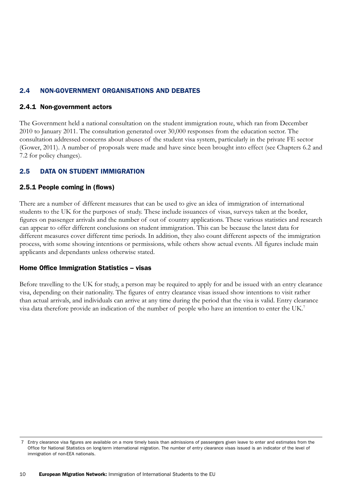### 2.4 NON-GOVERNMENT ORGANISATIONS AND DEBATES

#### 2.4.1 Non-government actors

The Government held a national consultation on the student immigration route, which ran from December 2010 to January 2011. The consultation generated over 30,000 responses from the education sector. The consultation addressed concerns about abuses of the student visa system, particularly in the private FE sector (Gower, 2011). A number of proposals were made and have since been brought into effect (see Chapters 6.2 and 7.2 for policy changes).

### 2.5 DATA ON STUDENT IMMIGRATION

### 2.5.1 People coming in (flows)

There are a number of different measures that can be used to give an idea of immigration of international students to the UK for the purposes of study. These include issuances of visas, surveys taken at the border, figures on passenger arrivals and the number of out of country applications. These various statistics and research can appear to offer different conclusions on student immigration. This can be because the latest data for different measures cover different time periods. In addition, they also count different aspects of the immigration process, with some showing intentions or permissions, while others show actual events. All figures include main applicants and dependants unless otherwise stated.

### Home Office Immigration Statistics – visas

Before travelling to the UK for study, a person may be required to apply for and be issued with an entry clearance visa, depending on their nationality. The figures of entry clearance visas issued show intentions to visit rather than actual arrivals, and individuals can arrive at any time during the period that the visa is valid. Entry clearance visa data therefore provide an indication of the number of people who have an intention to enter the UK.7

 <sup>7</sup> Entry clearance visa figures are available on a more timely basis than admissions of passengers given leave to enter and estimates from the Office for National Statistics on long-term international migration. The number of entry clearance visas issued is an indicator of the level of immigration of non-EEA nationals.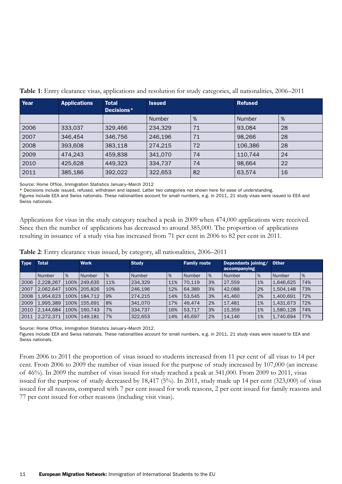| Year | <b>Applications</b> | <b>Total</b><br>Decisions* | <b>Issued</b> |    | <b>Refused</b> |    |
|------|---------------------|----------------------------|---------------|----|----------------|----|
|      |                     |                            | <b>Number</b> | %  | <b>Number</b>  | %  |
| 2006 | 333,037             | 329,466                    | 234.329       | 71 | 93.084         | 28 |
| 2007 | 346.454             | 346,756                    | 246,196       | 71 | 98,266         | 28 |
| 2008 | 393,608             | 383,118                    | 274.215       | 72 | 106.386        | 28 |
| 2009 | 474.243             | 459,838                    | 341,070       | 74 | 110.744        | 24 |
| 2010 | 425.628             | 449.323                    | 334,737       | 74 | 98,664         | 22 |
| 2011 | 385,186             | 392,022                    | 322,653       | 82 | 63,574         | 16 |

**Table 1**: Entry clearance visas, applications and resolution for study categories, all nationalities, 2006–2011

Source: Home Office, Immigration Statistics January–March 2012

\* Decisions include issued, refused, withdrawn and lapsed. Latter two categories not shown here for ease of understanding.

Figures include EEA and Swiss nationals. These nationalities account for small numbers, e.g. in 2011, 21 study visas were issued to EEA and Swiss nationals.

Applications for visas in the study category reached a peak in 2009 when 474,000 applications were received. Since then the number of applications has decreased to around 385,000. The proportion of applications resulting in issuance of a study visa has increased from 71 per cent in 2006 to 82 per cent in 2011.

| <b>Type</b> | Total     |      | <b>Work</b>  |      | <b>Study</b> |     | <b>Family route</b> |    | Dependants joining/<br>accompanying |    | <b>Other</b> |     |
|-------------|-----------|------|--------------|------|--------------|-----|---------------------|----|-------------------------------------|----|--------------|-----|
|             | Number    | %    | Number       | $\%$ | Number       | %   | Number              | %  | Number                              | %  | Number       | %   |
| 2006        | 2.228.267 | 100% | 249.635      | 11%  | 234.329      | 11% | 70.119              | 3% | 27.559                              | 1% | 1,646,625    | 74% |
| l 2007      | 2.062.647 | 100% | 205.826      | 10%  | 246.196      | 12% | 64.389              | 3% | 42.088                              | 2% | 1.504.148    | 73% |
| 2008        | 1.954.623 |      | 100% 184.712 | 9%   | 274.215      | 14% | 53.545              | 3% | 41.460                              | 2% | 1,400,691    | 72% |
| 2009        | 1,995,389 |      | 100% 155.691 | 8%   | 341,070      | 17% | 49.474              | 2% | 17,481                              | 1% | 1,431,673    | 72% |
| 2010        | 2,144,684 | 100% | 160.743      | 7%   | 334,737      | 16% | 53,717              | 3% | 15,359                              | 1% | 1,580,128    | 74% |
| 2011        | 2,272,371 | 100% | 149.181      | 7%   | 322,653      | 14% | 45.697              | 2% | 14.146                              | 1% | 1,740,694    | 77% |

**Table 2**: Entry clearance visas issued, by category, all nationalities, 2006–2011

Source: Home Office, Immigration Statistics January–March 2012.

Figures include EEA and Swiss nationals. These nationalities account for small numbers, e.g. in 2011, 21 study visas were issued to EEA and Swiss nationals.

From 2006 to 2011 the proportion of visas issued to students increased from 11 per cent of all visas to 14 per cent. From 2006 to 2009 the number of visas issued for the purpose of study increased by 107,000 (an increase of 46%). In 2009 the number of visas issued for study reached a peak at 341,000. From 2009 to 2011, visas issued for the purpose of study decreased by 18,417 (5%). In 2011, study made up 14 per cent (323,000) of visas issued for all reasons, compared with 7 per cent issued for work reasons, 2 per cent issued for family reasons and 77 per cent issued for other reasons (including visit visas).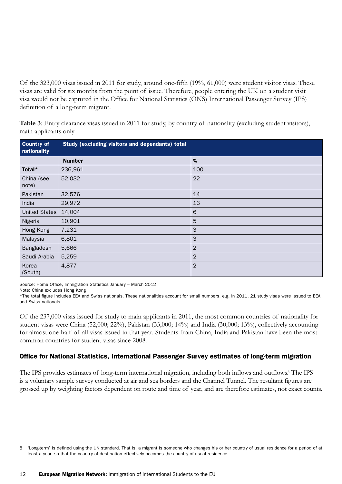Of the 323,000 visas issued in 2011 for study, around one-fifth (19%, 61,000) were student visitor visas. These visas are valid for six months from the point of issue. Therefore, people entering the UK on a student visit visa would not be captured in the Office for National Statistics (ONS) International Passenger Survey (IPS) definition of a long-term migrant.

**Table 3**: Entry clearance visas issued in 2011 for study, by country of nationality (excluding student visitors), main applicants only

| <b>Country of</b><br>nationality | <b>Study (excluding visitors and dependants) total</b> |                |  |  |  |
|----------------------------------|--------------------------------------------------------|----------------|--|--|--|
|                                  | <b>Number</b>                                          | $\%$           |  |  |  |
| Total*                           | 236,961                                                | 100            |  |  |  |
| China (see<br>note)              | 52,032                                                 | 22             |  |  |  |
| Pakistan                         | 32,576                                                 | 14             |  |  |  |
| India                            | 29,972                                                 | 13             |  |  |  |
| United States                    | 14,004                                                 | $\,$ 6         |  |  |  |
| Nigeria                          | 10,901                                                 | 5              |  |  |  |
| Hong Kong                        | 7,231                                                  | 3              |  |  |  |
| Malaysia                         | 6,801                                                  | 3              |  |  |  |
| Bangladesh                       | 5,666                                                  | $\overline{2}$ |  |  |  |
| Saudi Arabia                     | 5,259                                                  | $\overline{2}$ |  |  |  |
| Korea<br>(South)                 | 4,877                                                  | $\overline{2}$ |  |  |  |

Source: Home Office, Immigration Statistics January – March 2012

Note: China excludes Hong Kong

\*The total figure includes EEA and Swiss nationals. These nationalities account for small numbers, e.g. in 2011, 21 study visas were issued to EEA and Swiss nationals.

Of the 237,000 visas issued for study to main applicants in 2011, the most common countries of nationality for student visas were China (52,000; 22%), Pakistan (33,000; 14%) and India (30,000; 13%), collectively accounting for almost one-half of all visas issued in that year. Students from China, India and Pakistan have been the most common countries for student visas since 2008.

### Office for National Statistics, International Passenger Survey estimates of long-term migration

The IPS provides estimates of long-term international migration, including both inflows and outflows.8 The IPS is a voluntary sample survey conducted at air and sea borders and the Channel Tunnel. The resultant figures are grossed up by weighting factors dependent on route and time of year, and are therefore estimates, not exact counts.

<sup>8</sup> 'Long-term' is defined using the UN standard. That is, a migrant is someone who changes his or her country of usual residence for a period of at least a year, so that the country of destination effectively becomes the country of usual residence.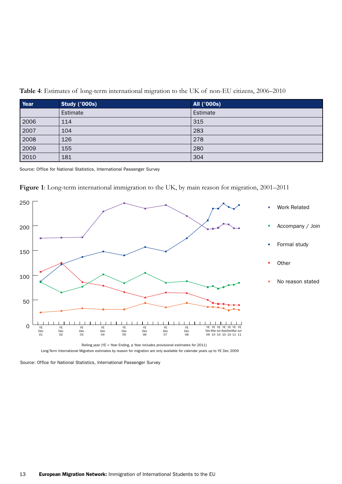**Table 4**: Estimates of long-term international migration to the UK of non-EU citizens, 2006–2010

| Year | <b>Study ('000s)</b> | <b>All ('000s)</b> |
|------|----------------------|--------------------|
|      | Estimate             | Estimate           |
| 2006 | 114                  | 315                |
| 2007 | 104                  | 283                |
| 2008 | 126                  | 278                |
| 2009 | 155                  | 280                |
| 2010 | 181                  | 304                |

Source: Office for National Statistics, International Passenger Survey



**Figure 1**: Long-term international immigration to the UK, by main reason for migration, 2001–2011

Source: Office for National Statistics, International Passenger Survey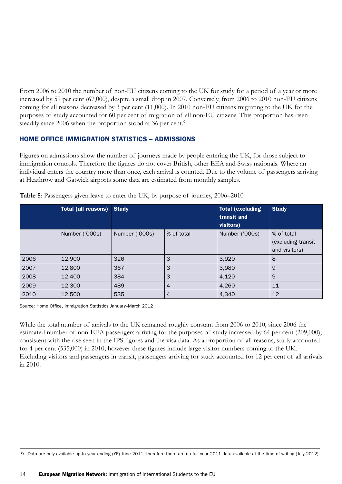From 2006 to 2010 the number of non-EU citizens coming to the UK for study for a period of a year or more increased by 59 per cent (67,000), despite a small drop in 2007. Conversely, from 2006 to 2010 non-EU citizens coming for all reasons decreased by 3 per cent (11,000). In 2010 non-EU citizens migrating to the UK for the purposes of study accounted for 60 per cent of migration of all non-EU citizens. This proportion has risen steadily since 2006 when the proportion stood at 36 per cent.<sup>9</sup>

### HOME OFFICE IMMIGRATION STATISTICS – ADMISSIONS

Figures on admissions show the number of journeys made by people entering the UK, for those subject to immigration controls. Therefore the figures do not cover British, other EEA and Swiss nationals. Where an individual enters the country more than once, each arrival is counted. Due to the volume of passengers arriving at Heathrow and Gatwick airports some data are estimated from monthly samples.

|      | <b>Total (all reasons)</b> | <b>Study</b>   |                | <b>Total (excluding)</b><br>transit and<br>visitors) | <b>Study</b>                                      |
|------|----------------------------|----------------|----------------|------------------------------------------------------|---------------------------------------------------|
|      | Number ('000s)             | Number ('000s) | % of total     | Number ('000s)                                       | % of total<br>(excluding transit<br>and visitors) |
| 2006 | 12,900                     | 326            | 3              | 3,920                                                | 8                                                 |
| 2007 | 12,800                     | 367            | 3              | 3,980                                                | 9                                                 |
| 2008 | 12,400                     | 384            | 3              | 4,120                                                | 9                                                 |
| 2009 | 12,300                     | 489            | $\overline{4}$ | 4,260                                                | 11                                                |
| 2010 | 12,500                     | 535            | $\overline{4}$ | 4,340                                                | 12                                                |

| Table 5: Passengers given leave to enter the UK, by purpose of journey, 2006-2010 |  |  |  |  |
|-----------------------------------------------------------------------------------|--|--|--|--|
|                                                                                   |  |  |  |  |

Source: Home Office, Immigration Statistics January–March 2012

While the total number of arrivals to the UK remained roughly constant from 2006 to 2010, since 2006 the estimated number of non-EEA passengers arriving for the purposes of study increased by 64 per cent (209,000), consistent with the rise seen in the IPS figures and the visa data. As a proportion of all reasons, study accounted for 4 per cent (535,000) in 2010; however these figures include large visitor numbers coming to the UK. Excluding visitors and passengers in transit, passengers arriving for study accounted for 12 per cent of all arrivals in 2010.

9 Data are only available up to year ending (YE) June 2011, therefore there are no full year 2011 data available at the time of writing (July 2012).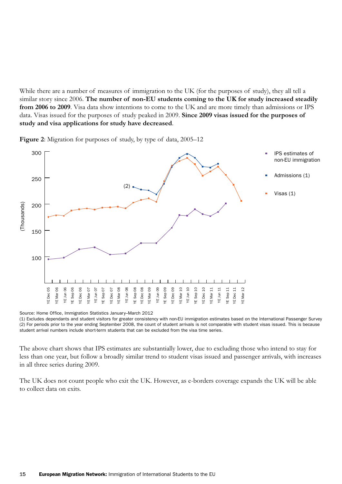While there are a number of measures of immigration to the UK (for the purposes of study), they all tell a similar story since 2006. **The number of non-EU students coming to the UK for study increased steadily from 2006 to 2009**. Visa data show intentions to come to the UK and are more timely than admissions or IPS data. Visas issued for the purposes of study peaked in 2009. **Since 2009 visas issued for the purposes of study and visa applications for study have decreased**.



**Figure 2**: Migration for purposes of study, by type of data, 2005–12

Source: Home Office, Immigration Statistics January–March 2012

(1) Excludes dependants and student visitors for greater consistency with non-EU immigration estimates based on the International Passenger Survey (2) For periods prior to the year ending September 2008, the count of student arrivals is not comparable with student visas issued. This is because student arrival numbers include short-term students that can be excluded from the visa time series.

The above chart shows that IPS estimates are substantially lower, due to excluding those who intend to stay for less than one year, but follow a broadly similar trend to student visas issued and passenger arrivals, with increases in all three series during 2009.

The UK does not count people who exit the UK. However, as e-borders coverage expands the UK will be able to collect data on exits.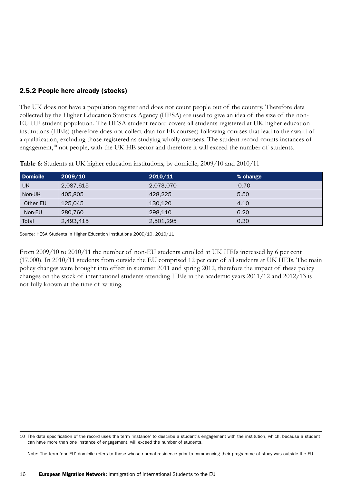### 2.5.2 People here already (stocks)

The UK does not have a population register and does not count people out of the country. Therefore data collected by the Higher Education Statistics Agency (HESA) are used to give an idea of the size of the non-EU HE student population. The HESA student record covers all students registered at UK higher education institutions (HEIs) (therefore does not collect data for FE courses) following courses that lead to the award of a qualification, excluding those registered as studying wholly overseas. The student record counts instances of engagement,<sup>10</sup> not people, with the UK HE sector and therefore it will exceed the number of students.

| <b>Domicile</b> | 2009/10   | 2010/11   | % change |
|-----------------|-----------|-----------|----------|
| UK              | 2,087,615 | 2.073.070 | $-0.70$  |
| Non-UK          | 405.805   | 428.225   | 5.50     |
| Other EU        | 125.045   | 130,120   | 4.10     |
| Non-EU          | 280,760   | 298.110   | 6.20     |
| Total           | 2,493,415 | 2,501,295 | 0.30     |

**Table 6**: Students at UK higher education institutions, by domicile, 2009/10 and 2010/11

Source: HESA Students in Higher Education Institutions 2009/10, 2010/11

From 2009/10 to 2010/11 the number of non-EU students enrolled at UK HEIs increased by 6 per cent (17,000). In 2010/11 students from outside the EU comprised 12 per cent of all students at UK HEIs. The main policy changes were brought into effect in summer 2011 and spring 2012, therefore the impact of these policy changes on the stock of international students attending HEIs in the academic years 2011/12 and 2012/13 is not fully known at the time of writing.

Note: The term 'non-EU' domicile refers to those whose normal residence prior to commencing their programme of study was outside the EU.

<sup>10</sup> The data specification of the record uses the term 'instance' to describe a student's engagement with the institution, which, because a student can have more than one instance of engagement, will exceed the number of students.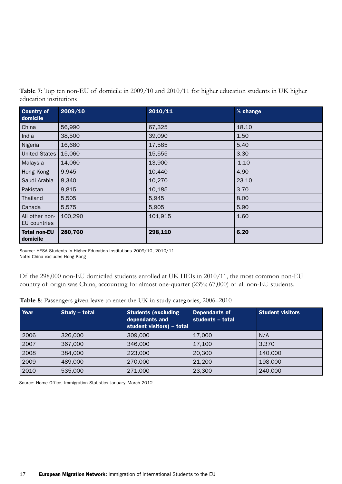| Table 7: Top ten non-EU of domicile in 2009/10 and 2010/11 for higher education students in UK higher |  |
|-------------------------------------------------------------------------------------------------------|--|
| education institutions                                                                                |  |

| <b>Country of</b><br>domicile   | 2009/10 | 2010/11 | % change |
|---------------------------------|---------|---------|----------|
| China                           | 56,990  | 67,325  | 18.10    |
| India                           | 38,500  | 39,090  | 1.50     |
| Nigeria                         | 16,680  | 17,585  | 5.40     |
| <b>United States</b>            | 15,060  | 15,555  | 3.30     |
| Malaysia                        | 14,060  | 13,900  | $-1.10$  |
| Hong Kong                       | 9,945   | 10,440  | 4.90     |
| Saudi Arabia                    | 8,340   | 10,270  | 23.10    |
| Pakistan                        | 9,815   | 10,185  | 3.70     |
| Thailand                        | 5,505   | 5,945   | 8.00     |
| Canada                          | 5,575   | 5,905   | 5.90     |
| All other non-<br>EU countries  | 100,290 | 101,915 | 1.60     |
| <b>Total non-EU</b><br>domicile | 280,760 | 298,110 | 6.20     |

Source: HESA Students in Higher Education Institutions 2009/10, 2010/11 Note: China excludes Hong Kong

Of the 298,000 non-EU domiciled students enrolled at UK HEIs in 2010/11, the most common non-EU country of origin was China, accounting for almost one-quarter (23%; 67,000) of all non-EU students.

| Table 8: Passengers given leave to enter the UK in study categories, 2006-2010 |  |  |  |  |
|--------------------------------------------------------------------------------|--|--|--|--|
|--------------------------------------------------------------------------------|--|--|--|--|

| Year | Study – total | <b>Students (excluding</b><br>dependants and<br>student visitors) - total | <b>Dependants of</b><br>students - total | <b>Student visitors</b> |
|------|---------------|---------------------------------------------------------------------------|------------------------------------------|-------------------------|
| 2006 | 326,000       | 309,000                                                                   | 17,000                                   | N/A                     |
| 2007 | 367,000       | 346,000                                                                   | 17.100                                   | 3,370                   |
| 2008 | 384,000       | 223,000                                                                   | 20,300                                   | 140,000                 |
| 2009 | 489,000       | 270,000                                                                   | 21,200                                   | 198,000                 |
| 2010 | 535,000       | 271,000                                                                   | 23,300                                   | 240,000                 |

Source: Home Office, Immigration Statistics January–March 2012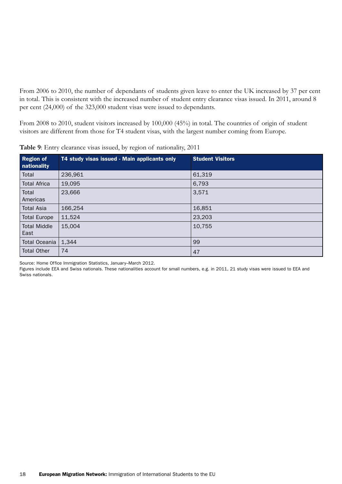From 2006 to 2010, the number of dependants of students given leave to enter the UK increased by 37 per cent in total. This is consistent with the increased number of student entry clearance visas issued. In 2011, around 8 per cent (24,000) of the 323,000 student visas were issued to dependants.

From 2008 to 2010, student visitors increased by 100,000 (45%) in total. The countries of origin of student visitors are different from those for T4 student visas, with the largest number coming from Europe.

| <b>Region of</b><br>nationality | T4 study visas issued - Main applicants only | <b>Student Visitors</b> |
|---------------------------------|----------------------------------------------|-------------------------|
| Total                           | 236,961                                      | 61,319                  |
| <b>Total Africa</b>             | 19,095                                       | 6,793                   |
| Total<br>Americas               | 23,666                                       | 3,571                   |
| <b>Total Asia</b>               | 166,254                                      | 16,851                  |
| <b>Total Europe</b>             | 11,524                                       | 23,203                  |
| <b>Total Middle</b><br>East     | 15,004                                       | 10,755                  |
| <b>Total Oceania</b>            | 1,344                                        | 99                      |
| <b>Total Other</b>              | 74                                           | 47                      |

**Table 9**: Entry clearance visas issued, by region of nationality, 2011

Source: Home Office Immigration Statistics, January–March 2012.

Figures include EEA and Swiss nationals. These nationalities account for small numbers, e.g. in 2011, 21 study visas were issued to EEA and Swiss nationals.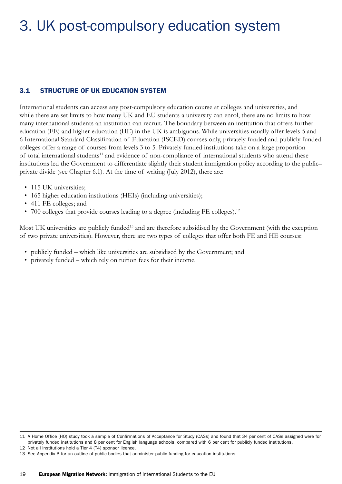# 3. UK post-compulsory education system

### 3.1 STRUCTURE OF UK EDUCATION SYSTEM

International students can access any post-compulsory education course at colleges and universities, and while there are set limits to how many UK and EU students a university can enrol, there are no limits to how many international students an institution can recruit. The boundary between an institution that offers further education (FE) and higher education (HE) in the UK is ambiguous. While universities usually offer levels 5 and 6 International Standard Classification of Education (ISCED) courses only, privately funded and publicly funded colleges offer a range of courses from levels 3 to 5. Privately funded institutions take on a large proportion of total international students<sup>11</sup> and evidence of non-compliance of international students who attend these institutions led the Government to differentiate slightly their student immigration policy according to the public– private divide (see Chapter 6.1). At the time of writing (July 2012), there are:

- 115 UK universities;
- 165 higher education institutions (HEIs) (including universities);
- 411 FE colleges; and
- 700 colleges that provide courses leading to a degree (including FE colleges).<sup>12</sup>

Most UK universities are publicly funded<sup>13</sup> and are therefore subsidised by the Government (with the exception of two private universities). However, there are two types of colleges that offer both FE and HE courses:

- publicly funded which like universities are subsidised by the Government; and
- privately funded which rely on tuition fees for their income.

<sup>11</sup> A Home Office (HO) study took a sample of Confirmations of Acceptance for Study (CASs) and found that 34 per cent of CASs assigned were for privately funded institutions and 8 per cent for English language schools, compared with 6 per cent for publicly funded institutions.

<sup>12</sup> Not all institutions hold a Tier 4 (T4) sponsor licence.

<sup>13</sup> See Appendix B for an outline of public bodies that administer public funding for education institutions.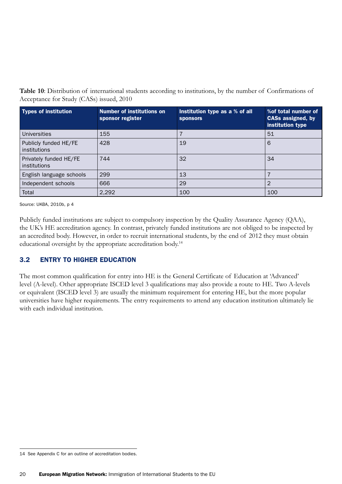**Table 10**: Distribution of international students according to institutions, by the number of Confirmations of Acceptance for Study (CASs) issued, 2010

| <b>Types of institution</b>            | <b>Number of institutions on</b><br>sponsor register | Institution type as a % of all<br><b>sponsors</b> | % of total number of<br><b>CASs assigned, by</b><br>institution type |
|----------------------------------------|------------------------------------------------------|---------------------------------------------------|----------------------------------------------------------------------|
| Universities                           | 155                                                  |                                                   | 51                                                                   |
| Publicly funded HE/FE<br>institutions  | 428                                                  | 19                                                | 6                                                                    |
| Privately funded HE/FE<br>institutions | 744                                                  | 32                                                | 34                                                                   |
| English language schools               | 299                                                  | 13                                                |                                                                      |
| Independent schools                    | 666                                                  | 29                                                | $\overline{2}$                                                       |
| Total                                  | 2,292                                                | 100                                               | 100                                                                  |

Source: UKBA, 2010b, p 4

Publicly funded institutions are subject to compulsory inspection by the Quality Assurance Agency (QAA), the UK's HE accreditation agency. In contrast, privately funded institutions are not obliged to be inspected by an accredited body. However, in order to recruit international students, by the end of 2012 they must obtain educational oversight by the appropriate accreditation body.<sup>14</sup>

### 3.2 ENTRY TO HIGHER EDUCATION

The most common qualification for entry into HE is the General Certificate of Education at 'Advanced' level (A-level). Other appropriate ISCED level 3 qualifications may also provide a route to HE. Two A-levels or equivalent (ISCED level 3) are usually the minimum requirement for entering HE, but the more popular universities have higher requirements. The entry requirements to attend any education institution ultimately lie with each individual institution.

<sup>14</sup> See Appendix C for an outline of accreditation bodies.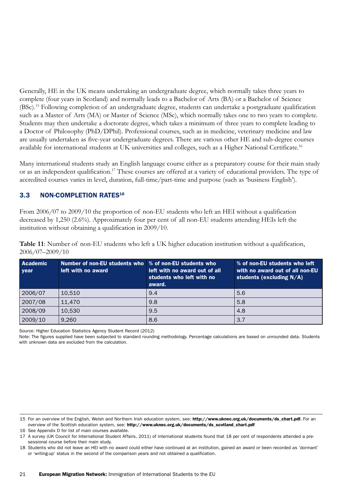Generally, HE in the UK means undertaking an undergraduate degree, which normally takes three years to complete (four years in Scotland) and normally leads to a Bachelor of Arts (BA) or a Bachelor of Science (BSc).15 Following completion of an undergraduate degree, students can undertake a postgraduate qualification such as a Master of Arts (MA) or Master of Science (MSc), which normally takes one to two years to complete. Students may then undertake a doctorate degree, which takes a minimum of three years to complete leading to a Doctor of Philosophy (PhD/DPhil). Professional courses, such as in medicine, veterinary medicine and law are usually undertaken as five-year undergraduate degrees. There are various other HE and sub-degree courses available for international students at UK universities and colleges, such as a Higher National Certificate.16

Many international students study an English language course either as a preparatory course for their main study or as an independent qualification.<sup>17</sup> These courses are offered at a variety of educational providers. The type of accredited courses varies in level, duration, full-time/part-time and purpose (such as 'business English').

### 3.3 NON-COMPLETION RATES<sup>18</sup>

From 2006/07 to 2009/10 the proportion of non-EU students who left an HEI without a qualification decreased by 1,250 (2.6%). Approximately four per cent of all non-EU students attending HEIs left the institution without obtaining a qualification in 2009/10.

**Table 11**: Number of non-EU students who left a UK higher education institution without a qualification, 2006/07–2009/10

| <b>Academic</b><br><b>year</b> | Number of non-EU students who   % of non-EU students who<br>left with no award | left with no award out of all<br>students who left with no<br>award. | % of non-EU students who left<br>with no award out of all non-EU<br>students (excluding $N/A$ ) |
|--------------------------------|--------------------------------------------------------------------------------|----------------------------------------------------------------------|-------------------------------------------------------------------------------------------------|
| 2006/07                        | 10,510                                                                         | 9.4                                                                  | 5.6                                                                                             |
| 2007/08                        | 11,470                                                                         | 9.8                                                                  | 5.8                                                                                             |
| 2008/09                        | 10,530                                                                         | 9.5                                                                  | 4.8                                                                                             |
| 2009/10                        | 9,260                                                                          | 8.6                                                                  | 3.7                                                                                             |

Source: Higher Education Statistics Agency Student Record (2012)

Note: The figures supplied have been subjected to standard rounding methodology. Percentage calculations are based on unrounded data. Students with unknown data are excluded from the calculation.

16 See Appendix D for list of main courses available.

<sup>15</sup> For an overview of the English, Welsh and Northern Irish education system, see: [http://www.uknec.org.uk/documents/ds\\_chart.pdf.](http://www.uknec.org.uk/documents/ds_chart.pdf) For an overview of the Scottish education system, see: [http://www.uknec.org.uk/documents/ds\\_scotland\\_chart.pdf](http://www.uknec.org.uk/documents/ds_scotland_chart.pdf)

<sup>17</sup> A survey (UK Council for International Student Affairs, 2011) of international students found that 18 per cent of respondents attended a presessional course before their main study.

<sup>18</sup> Students who did not leave an HEI with no award could either have continued at an institution, gained an award or been recorded as 'dormant' or 'writing-up' status in the second of the comparison years and not obtained a qualification.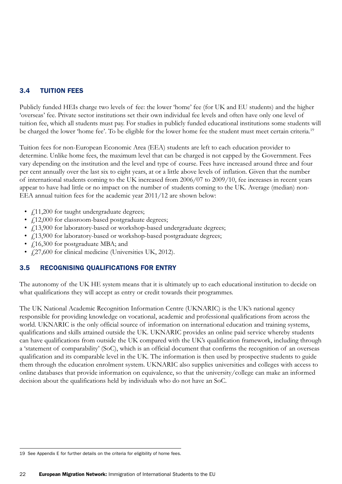### 3.4 TUITION FEES

Publicly funded HEIs charge two levels of fee: the lower 'home' fee (for UK and EU students) and the higher 'overseas' fee. Private sector institutions set their own individual fee levels and often have only one level of tuition fee, which all students must pay. For studies in publicly funded educational institutions some students will be charged the lower 'home fee'. To be eligible for the lower home fee the student must meet certain criteria.<sup>19</sup>

Tuition fees for non-European Economic Area (EEA) students are left to each education provider to determine. Unlike home fees, the maximum level that can be charged is not capped by the Government. Fees vary depending on the institution and the level and type of course. Fees have increased around three and four per cent annually over the last six to eight years, at or a little above levels of inflation. Given that the number of international students coming to the UK increased from 2006/07 to 2009/10, fee increases in recent years appear to have had little or no impact on the number of students coming to the UK. Average (median) non-EEA annual tuition fees for the academic year 2011/12 are shown below:

- $\int$ 11,200 for taught undergraduate degrees;
- $\angle$  f.12,000 for classroom-based postgraduate degrees;
- $f_{1}13,900$  for laboratory-based or workshop-based undergraduate degrees;
- $\angle$  13,900 for laboratory-based or workshop-based postgraduate degrees;
- $\angle$  16,300 for postgraduate MBA; and
- $\angle$  (27,600 for clinical medicine (Universities UK, 2012).

### 3.5 RECOGNISING QUALIFICATIONS FOR ENTRY

The autonomy of the UK HE system means that it is ultimately up to each educational institution to decide on what qualifications they will accept as entry or credit towards their programmes.

The UK National Academic Recognition Information Centre (UKNARIC) is the UK's national agency responsible for providing knowledge on vocational, academic and professional qualifications from across the world. UKNARIC is the only official source of information on international education and training systems, qualifications and skills attained outside the UK. UKNARIC provides an online paid service whereby students can have qualifications from outside the UK compared with the UK's qualification framework, including through a 'statement of comparability' (SoC), which is an official document that confirms the recognition of an overseas qualification and its comparable level in the UK. The information is then used by prospective students to guide them through the education enrolment system. UKNARIC also supplies universities and colleges with access to online databases that provide information on equivalence, so that the university/college can make an informed decision about the qualifications held by individuals who do not have an SoC.

<sup>19</sup> See Appendix E for further details on the criteria for eligibility of home fees.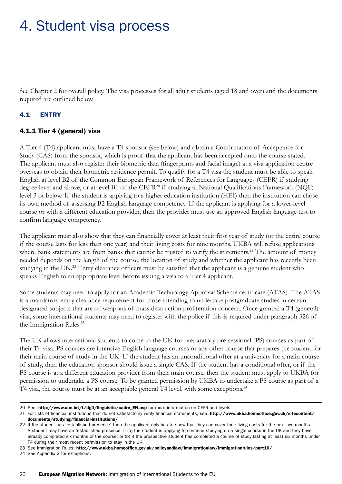# 4. Student visa process

See Chapter 2 for overall policy. The visa processes for all adult students (aged 18 and over) and the documents required are outlined below.

### 4.1 ENTRY

#### 4.1.1 Tier 4 (general) visa

A Tier 4 (T4) applicant must have a T4 sponsor (see below) and obtain a Confirmation of Acceptance for Study (CAS) from the sponsor, which is proof that the applicant has been accepted onto the course stated. The applicant must also register their biometric data (fingerprints and facial image) at a visa application centre overseas to obtain their biometric residence permit. To qualify for a T4 visa the student must be able to speak English at level B2 of the Common European Framework of References for Languages (CEFR) if studying degree level and above, or at level B1 of the CEFR<sup>20</sup> if studying at National Qualifications Framework (NQF) level 3 or below. If the student is applying to a higher education institution (HEI) then the institution can chose its own method of assessing B2 English language competency. If the applicant is applying for a lower-level course or with a different education provider, then the provider must use an approved English language test to confirm language competency.

The applicant must also show that they can financially cover at least their first year of study (or the entire course if the course lasts for less than one year) and their living costs for nine months. UKBA will refuse applications where bank statements are from banks that cannot be trusted to verify the statements.<sup>21</sup> The amount of money needed depends on the length of the course, the location of study and whether the applicant has recently been studying in the UK.<sup>22</sup> Entry clearance officers must be satisfied that the applicant is a genuine student who speaks English to an appropriate level before issuing a visa to a Tier 4 applicant.

Some students may need to apply for an Academic Technology Approval Scheme certificate (ATAS). The ATAS is a mandatory entry clearance requirement for those intending to undertake postgraduate studies in certain designated subjects that are of weapons of mass destruction proliferation concern. Once granted a T4 (general) visa, some international students may need to register with the police if this is required under paragraph 326 of the Immigration Rules.<sup>23</sup>

The UK allows international students to come to the UK for preparatory pre-sessional (PS) courses as part of their T4 visa. PS courses are intensive English language courses or any other course that prepares the student for their main course of study in the UK. If the student has an unconditional offer at a university for a main course of study, then the education sponsor should issue a single CAS. If the student has a conditional offer, or if the PS course is at a different education provider from their main course, then the student must apply to UKBA for permission to undertake a PS course. To be granted permission by UKBA to undertake a PS course as part of a T4 visa, the course must be at an acceptable general T4 level, with some exceptions.<sup>24</sup>

21 For lists of financial institutions that do not satisfactorily verify financial statements, see: [http://www.ukba.homeoffice.gov.uk/sitecontent/](http://www.ukba.homeoffice.gov.uk/sitecontent/documents/studying/financial) [documents/studying/financial-](http://www.ukba.homeoffice.gov.uk/sitecontent/documents/studying/financial)institutions/

<sup>20</sup> See: [http://www.coe.int/t/dg4/linguistic/cadre\\_EN.asp](http://www.coe.int/t/dg4/linguistic/cadre_EN.asp) for more information on CEFR and levels.

<sup>22</sup> If the student has 'established presence' then the applicant only has to show that they can cover their living costs for the next two months. A student may have an 'established presence' if (a) the student is applying to continue studying on a single course in the UK and they have already completed six months of the course; or (b) if the prospective student has completed a course of study lasting at least six months under T4 during their most recent permission to stay in the UK.

<sup>23</sup> See Immigration Rules: <http://www.ukba.homeoffice.gov.uk/policyandlaw/immigrationlaw/immigrationrules/part10>/

<sup>24</sup> See Appendix G for exceptions.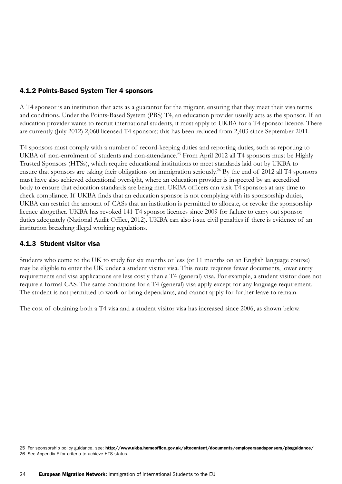### 4.1.2 Points-Based System Tier 4 sponsors

A T4 sponsor is an institution that acts as a guarantor for the migrant, ensuring that they meet their visa terms and conditions. Under the Points-Based System (PBS) T4, an education provider usually acts as the sponsor. If an education provider wants to recruit international students, it must apply to UKBA for a T4 sponsor licence. There are currently (July 2012) 2,060 licensed T4 sponsors; this has been reduced from 2,403 since September 2011.

T4 sponsors must comply with a number of record-keeping duties and reporting duties, such as reporting to UKBA of non-enrolment of students and non-attendance.<sup>25</sup> From April 2012 all T4 sponsors must be Highly Trusted Sponsors (HTSs), which require educational institutions to meet standards laid out by UKBA to ensure that sponsors are taking their obligations on immigration seriously.<sup>26</sup> By the end of 2012 all T4 sponsors must have also achieved educational oversight, where an education provider is inspected by an accredited body to ensure that education standards are being met. UKBA officers can visit T4 sponsors at any time to check compliance. If UKBA finds that an education sponsor is not complying with its sponsorship duties, UKBA can restrict the amount of CASs that an institution is permitted to allocate, or revoke the sponsorship licence altogether. UKBA has revoked 141 T4 sponsor licences since 2009 for failure to carry out sponsor duties adequately (National Audit Office, 2012). UKBA can also issue civil penalties if there is evidence of an institution breaching illegal working regulations.

#### 4.1.3 Student visitor visa

Students who come to the UK to study for six months or less (or 11 months on an English language course) may be eligible to enter the UK under a student visitor visa. This route requires fewer documents, lower entry requirements and visa applications are less costly than a T4 (general) visa. For example, a student visitor does not require a formal CAS. The same conditions for a T4 (general) visa apply except for any language requirement. The student is not permitted to work or bring dependants, and cannot apply for further leave to remain.

The cost of obtaining both a T4 visa and a student visitor visa has increased since 2006, as shown below.

<sup>25</sup> For sponsorship policy guidance, see: <http://www.ukba.homeoffice.gov.uk/sitecontent/documents/employersandsponsors/pbsguidance>/ 26 See Appendix F for criteria to achieve HTS status.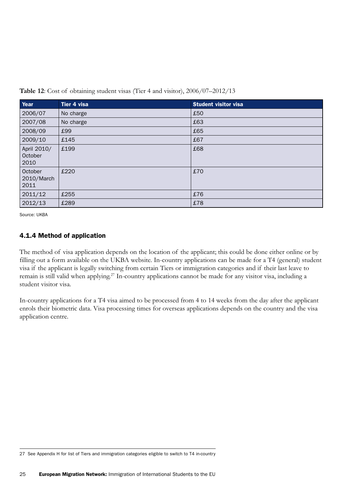| Year                           | Tier 4 visa | <b>Student visitor visa</b> |
|--------------------------------|-------------|-----------------------------|
| 2006/07                        | No charge   | £50                         |
| 2007/08                        | No charge   | £63                         |
| 2008/09                        | £99         | £65                         |
| 2009/10                        | £145        | £67                         |
| April 2010/<br>October<br>2010 | £199        | £68                         |
| October<br>2010/March<br>2011  | £220        | £70                         |
| 2011/12                        | £255        | £76                         |
| 2012/13                        | £289        | £78                         |

**Table 12**: Cost of obtaining student visas (Tier 4 and visitor), 2006/07–2012/13

Source: UKBA

### 4.1.4 Method of application

The method of visa application depends on the location of the applicant; this could be done either online or by filling out a form available on the UKBA website. In-country applications can be made for a T4 (general) student visa if the applicant is legally switching from certain Tiers or immigration categories and if their last leave to remain is still valid when applying.<sup>27</sup> In-country applications cannot be made for any visitor visa, including a student visitor visa.

In-country applications for a T4 visa aimed to be processed from 4 to 14 weeks from the day after the applicant enrols their biometric data. Visa processing times for overseas applications depends on the country and the visa application centre.

27 See Appendix H for list of Tiers and immigration categories eligible to switch to T4 in-country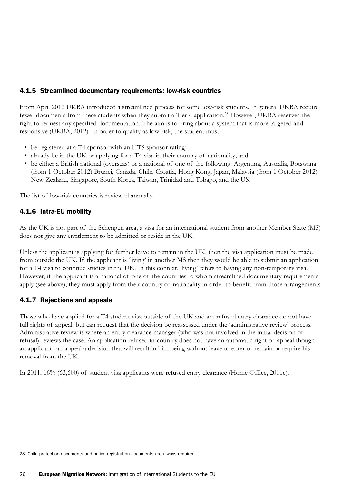### 4.1.5 Streamlined documentary requirements: low-risk countries

From April 2012 UKBA introduced a streamlined process for some low-risk students. In general UKBA require fewer documents from these students when they submit a Tier 4 application.<sup>28</sup> However, UKBA reserves the right to request any specified documentation. The aim is to bring about a system that is more targeted and responsive (UKBA, 2012). In order to qualify as low-risk, the student must:

- be registered at a T4 sponsor with an HTS sponsor rating;
- already be in the UK or applying for a T4 visa in their country of nationality; and
- • be either a British national (overseas) or a national of one of the following: Argentina, Australia, Botswana (from 1 October 2012) Brunei, Canada, Chile, Croatia, Hong Kong, Japan, Malaysia (from 1 October 2012) New Zealand, Singapore, South Korea, Taiwan, Trinidad and Tobago, and the US.

The list of low-risk countries is reviewed annually.

### 4.1.6 Intra-EU mobility

As the UK is not part of the Schengen area, a visa for an international student from another Member State (MS) does not give any entitlement to be admitted or reside in the UK.

Unless the applicant is applying for further leave to remain in the UK, then the visa application must be made from outside the UK. If the applicant is 'living' in another MS then they would be able to submit an application for a T4 visa to continue studies in the UK. In this context, 'living' refers to having any non-temporary visa. However, if the applicant is a national of one of the countries to whom streamlined documentary requirements apply (see above), they must apply from their country of nationality in order to benefit from those arrangements.

### 4.1.7 Rejections and appeals

Those who have applied for a T4 student visa outside of the UK and are refused entry clearance do not have full rights of appeal, but can request that the decision be reassessed under the 'administrative review' process. Administrative review is where an entry clearance manager (who was not involved in the initial decision of refusal) reviews the case. An application refused in-country does not have an automatic right of appeal though an applicant can appeal a decision that will result in him being without leave to enter or remain or require his removal from the UK.

In 2011, 16% (63,600) of student visa applicants were refused entry clearance (Home Office, 2011c).

<sup>28</sup> Child protection documents and police registration documents are always required.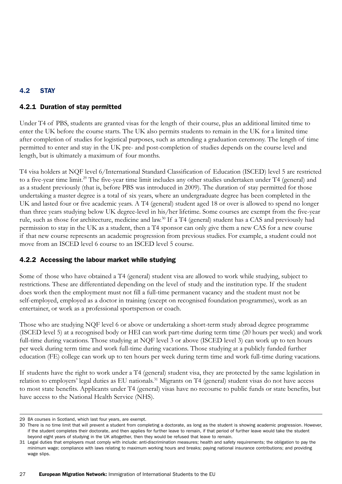### 4.2 STAY

### 4.2.1 Duration of stay permitted

Under T4 of PBS, students are granted visas for the length of their course, plus an additional limited time to enter the UK before the course starts. The UK also permits students to remain in the UK for a limited time after completion of studies for logistical purposes, such as attending a graduation ceremony. The length of time permitted to enter and stay in the UK pre- and post-completion of studies depends on the course level and length, but is ultimately a maximum of four months.

T4 visa holders at NQF level 6/International Standard Classification of Education (ISCED) level 5 are restricted to a five-year time limit.<sup>29</sup> The five-year time limit includes any other studies undertaken under T4 (general) and as a student previously (that is, before PBS was introduced in 2009). The duration of stay permitted for those undertaking a master degree is a total of six years, where an undergraduate degree has been completed in the UK and lasted four or five academic years. A T4 (general) student aged 18 or over is allowed to spend no longer than three years studying below UK degree-level in his/her lifetime. Some courses are exempt from the five-year rule, such as those for architecture, medicine and law.30 If a T4 (general) student has a CAS and previously had permission to stay in the UK as a student, then a T4 sponsor can only give them a new CAS for a new course if that new course represents an academic progression from previous studies. For example, a student could not move from an ISCED level 6 course to an ISCED level 5 course.

### 4.2.2 Accessing the labour market while studying

Some of those who have obtained a T4 (general) student visa are allowed to work while studying, subject to restrictions. These are differentiated depending on the level of study and the institution type. If the student does work then the employment must not fill a full-time permanent vacancy and the student must not be self-employed, employed as a doctor in training (except on recognised foundation programmes), work as an entertainer, or work as a professional sportsperson or coach.

Those who are studying NQF level 6 or above or undertaking a short-term study abroad degree programme (ISCED level 5) at a recognised body or HEI can work part-time during term time (20 hours per week) and work full-time during vacations. Those studying at NQF level 3 or above (ISCED level 3) can work up to ten hours per week during term time and work full-time during vacations. Those studying at a publicly funded further education (FE) college can work up to ten hours per week during term time and work full-time during vacations.

If students have the right to work under a T4 (general) student visa, they are protected by the same legislation in relation to employers' legal duties as EU nationals.<sup>31</sup> Migrants on T4 (general) student visas do not have access to most state benefits. Applicants under T4 (general) visas have no recourse to public funds or state benefits, but have access to the National Health Service (NHS).

<sup>29</sup> BA courses in Scotland, which last four years, are exempt.

<sup>30</sup> There is no time limit that will prevent a student from completing a doctorate, as long as the student is showing academic progression. However, if the student completes their doctorate, and then applies for further leave to remain, if that period of further leave would take the student beyond eight years of studying in the UK altogether, then they would be refused that leave to remain.

<sup>31</sup> Legal duties that employers must comply with include: anti-discrimination measures; health and safety requirements; the obligation to pay the minimum wage; compliance with laws relating to maximum working hours and breaks; paying national insurance contributions; and providing wage slips.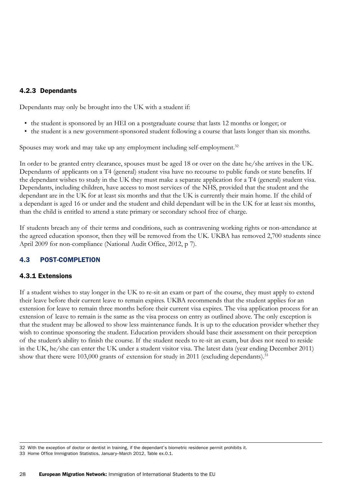### 4.2.3 Dependants

Dependants may only be brought into the UK with a student if:

- the student is sponsored by an HEI on a postgraduate course that lasts 12 months or longer; or
- the student is a new government-sponsored student following a course that lasts longer than six months.

Spouses may work and may take up any employment including self-employment.<sup>32</sup>

In order to be granted entry clearance, spouses must be aged 18 or over on the date he/she arrives in the UK. Dependants of applicants on a T4 (general) student visa have no recourse to public funds or state benefits. If the dependant wishes to study in the UK they must make a separate application for a T4 (general) student visa. Dependants, including children, have access to most services of the NHS, provided that the student and the dependant are in the UK for at least six months and that the UK is currently their main home. If the child of a dependant is aged 16 or under and the student and child dependant will be in the UK for at least six months, than the child is entitled to attend a state primary or secondary school free of charge.

If students breach any of their terms and conditions, such as contravening working rights or non-attendance at the agreed education sponsor, then they will be removed from the UK. UKBA has removed 2,700 students since April 2009 for non-compliance (National Audit Office, 2012, p 7).

### 4.3 POST-COMPLETION

### 4.3.1 Extensions

If a student wishes to stay longer in the UK to re-sit an exam or part of the course, they must apply to extend their leave before their current leave to remain expires. UKBA recommends that the student applies for an extension for leave to remain three months before their current visa expires. The visa application process for an extension of leave to remain is the same as the visa process on entry as outlined above. The only exception is that the student may be allowed to show less maintenance funds. It is up to the education provider whether they wish to continue sponsoring the student. Education providers should base their assessment on their perception of the student's ability to finish the course. If the student needs to re-sit an exam, but does not need to reside in the UK, he/she can enter the UK under a student visitor visa. The latest data (year ending December 2011) show that there were 103,000 grants of extension for study in 2011 (excluding dependants).<sup>33</sup>

<sup>32</sup> With the exception of doctor or dentist in training, if the dependant's biometric residence permit prohibits it.

<sup>33</sup> Home Office Immigration Statistics, January–March 2012, Table ex.0.1.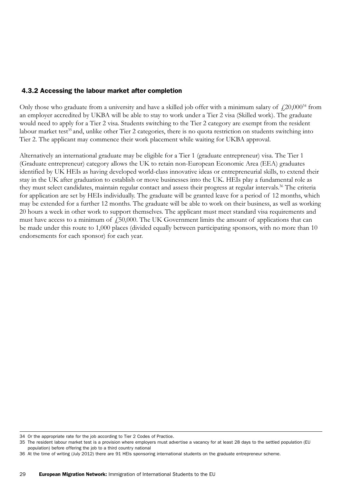### 4.3.2 Accessing the labour market after completion

Only those who graduate from a university and have a skilled job offer with a minimum salary of  $\mu$ 20,000<sup>34</sup> from an employer accredited by UKBA will be able to stay to work under a Tier 2 visa (Skilled work). The graduate would need to apply for a Tier 2 visa. Students switching to the Tier 2 category are exempt from the resident labour market test<sup>35</sup> and, unlike other Tier 2 categories, there is no quota restriction on students switching into Tier 2. The applicant may commence their work placement while waiting for UKBA approval.

Alternatively an international graduate may be eligible for a Tier 1 (graduate entrepreneur) visa. The Tier 1 (Graduate entrepreneur) category allows the UK to retain non-European Economic Area (EEA) graduates identified by UK HEIs as having developed world-class innovative ideas or entrepreneurial skills, to extend their stay in the UK after graduation to establish or move businesses into the UK. HEIs play a fundamental role as they must select candidates, maintain regular contact and assess their progress at regular intervals.<sup>36</sup> The criteria for application are set by HEIs individually. The graduate will be granted leave for a period of 12 months, which may be extended for a further 12 months. The graduate will be able to work on their business, as well as working 20 hours a week in other work to support themselves. The applicant must meet standard visa requirements and must have access to a minimum of  $\text{\textsterling}50,000$ . The UK Government limits the amount of applications that can be made under this route to 1,000 places (divided equally between participating sponsors, with no more than 10 endorsements for each sponsor) for each year.

<sup>34</sup> Or the appropriate rate for the job according to Tier 2 Codes of Practice.

<sup>35</sup> The resident labour market test is a provision where employers must advertise a vacancy for at least 28 days to the settled population (EU population) before offering the job to a third country national

<sup>36</sup> At the time of writing (July 2012) there are 91 HEIs sponsoring international students on the graduate entrepreneur scheme.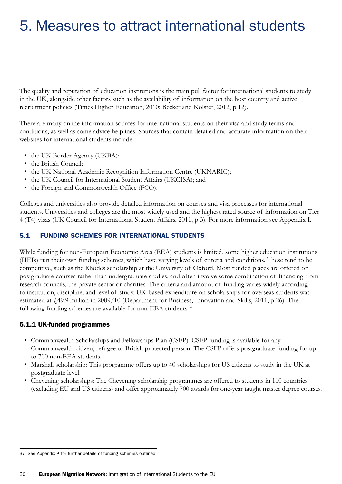# 5. Measures to attract international students

The quality and reputation of education institutions is the main pull factor for international students to study in the UK, alongside other factors such as the availability of information on the host country and active recruitment policies (Times Higher Education, 2010; Becker and Kolster, 2012, p 12).

There are many online information sources for international students on their visa and study terms and conditions, as well as some advice helplines. Sources that contain detailed and accurate information on their websites for international students include:

- the UK Border Agency (UKBA);
- the British Council;
- the UK National Academic Recognition Information Centre (UKNARIC);
- the UK Council for International Student Affairs (UKCISA); and
- the Foreign and Commonwealth Office (FCO).

Colleges and universities also provide detailed information on courses and visa processes for international students. Universities and colleges are the most widely used and the highest rated source of information on Tier 4 (T4) visas (UK Council for International Student Affairs, 2011, p 3). For more information see Appendix I.

### 5.1 FUNDING SCHEMES FOR INTERNATIONAL STUDENTS

While funding for non-European Economic Area (EEA) students is limited, some higher education institutions (HEIs) run their own funding schemes, which have varying levels of criteria and conditions. These tend to be competitive, such as the Rhodes scholarship at the University of Oxford. Most funded places are offered on postgraduate courses rather than undergraduate studies, and often involve some combination of financing from research councils, the private sector or charities. The criteria and amount of funding varies widely according to institution, discipline, and level of study. UK-based expenditure on scholarships for overseas students was estimated at £49.9 million in 2009/10 (Department for Business, Innovation and Skills, 2011, p 26). The following funding schemes are available for non-EEA students.<sup>37</sup>

#### 5.1.1 UK-funded programmes

- • Commonwealth Scholarships and Fellowships Plan (CSFP): CSFP funding is available for any Commonwealth citizen, refugee or British protected person. The CSFP offers postgraduate funding for up to 700 non-EEA students.
- Marshall scholarship: This programme offers up to 40 scholarships for US citizens to study in the UK at postgraduate level.
- Chevening scholarships: The Chevening scholarship programmes are offered to students in 110 countries (excluding EU and US citizens) and offer approximately 700 awards for one-year taught master degree courses.

<sup>37</sup> See Appendix K for further details of funding schemes outlined.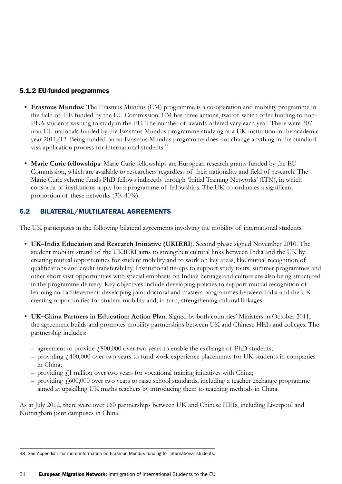### 5.1.2 EU-funded programmes

- **• Erasmus Mundus**: The Erasmus Mundus (EM) programme is a co-operation and mobility programme in the field of HE funded by the EU Commission. EM has three actions, two of which offer funding to non-EEA students wishing to study in the EU. The number of awards offered vary each year. There were 307 non-EU nationals funded by the Erasmus Mundus programme studying at a UK institution in the academic year 2011/12. Being funded on an Erasmus Mundus programme does not change anything in the standard visa application process for international students.<sup>38</sup>
- Marie Curie fellowships: Marie Curie fellowships are European research grants funded by the EU Commission, which are available to researchers regardless of their nationality and field of research. The Marie Curie scheme funds PhD fellows indirectly through 'Initial Training Networks' (ITN), in which consortia of institutions apply for a programme of fellowships. The UK co-ordinates a significant proportion of these networks (30–40%).

### 5.2 BILATERAL/MULTILATERAL AGREEMENTS

The UK participates in the following bilateral agreements involving the mobility of international students.

- **• UK–India Education and Research Initiative (UKIERI**). Second phase signed November 2010. The student mobility strand of the UKIERI aims to strengthen cultural links between India and the UK by creating mutual opportunities for student mobility and to work on key areas, like mutual recognition of qualifications and credit transferability. Institutional tie-ups to support study tours, summer programmes and other short visit opportunities with special emphasis on India's heritage and culture are also being structured in the programme delivery. Key objectives include developing policies to support mutual recognition of learning and achievement; developing joint doctoral and masters programmes between India and the UK; creating opportunities for student mobility and, in turn, strengthening cultural linkages.
- **UK–China Partners in Education: Action Plan**. Signed by both countries' Ministers in October 2011, the agreement builds and promotes mobility partnerships between UK and Chinese HEIs and colleges. The partnership includes:
	- agreement to provide  $f<sub>1</sub>800,000$  over two years to enable the exchange of PhD students;
	- $-$  providing  $f_1400,000$  over two years to fund work experience placements for UK students in companies in China;
	- providing  $f<sub>i</sub>1$  million over two years for vocational training initiatives with China;
	- $-$  providing  $\frac{\mu}{600,000}$  over two years to raise school standards, including a teacher exchange programme aimed at upskilling UK maths teachers by introducing them to teaching methods in China.

As at July 2012, there were over 160 partnerships between UK and Chinese HEIs, including Liverpool and Nottingham joint campuses in China.

<sup>38</sup> See Appendix L for more information on Erasmus Mundus funding for international students.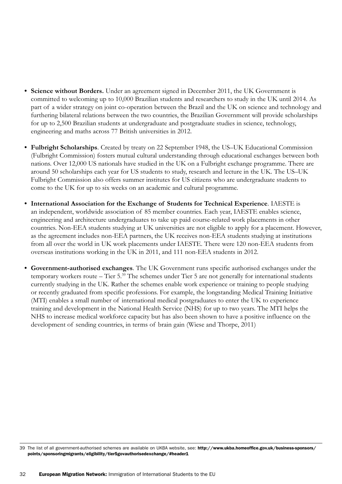- **• Science without Borders.** Under an agreement signed in December 2011, the UK Government is committed to welcoming up to 10,000 Brazilian students and researchers to study in the UK until 2014. As part of a wider strategy on joint co-operation between the Brazil and the UK on science and technology and furthering bilateral relations between the two countries, the Brazilian Government will provide scholarships for up to 2,500 Brazilian students at undergraduate and postgraduate studies in science, technology, engineering and maths across 77 British universities in 2012.
- **• Fulbright Scholarships**. Created by treaty on 22 September 1948, the US–UK Educational Commission (Fulbright Commission) fosters mutual cultural understanding through educational exchanges between both nations. Over 12,000 US nationals have studied in the UK on a Fulbright exchange programme. There are around 50 scholarships each year for US students to study, research and lecture in the UK. The US–UK Fulbright Commission also offers summer institutes for US citizens who are undergraduate students to come to the UK for up to six weeks on an academic and cultural programme.
- **• International Association for the Exchange of Students for Technical Experience**. IAESTE is an independent, worldwide association of 85 member countries. Each year, IAESTE enables science, engineering and architecture undergraduates to take up paid course-related work placements in other countries. Non-EEA students studying at UK universities are not eligible to apply for a placement. However, as the agreement includes non-EEA partners, the UK receives non-EEA students studying at institutions from all over the world in UK work placements under IAESTE. There were 120 non-EEA students from overseas institutions working in the UK in 2011, and 111 non-EEA students in 2012.
- **• Government-authorised exchanges**. The UK Government runs specific authorised exchanges under the temporary workers route – Tier 5.<sup>39</sup> The schemes under Tier 5 are not generally for international students currently studying in the UK. Rather the schemes enable work experience or training to people studying or recently graduated from specific professions. For example, the longstanding Medical Training Initiative (MTI) enables a small number of international medical postgraduates to enter the UK to experience training and development in the National Health Service (NHS) for up to two years. The MTI helps the NHS to increase medical workforce capacity but has also been shown to have a positive influence on the development of sending countries, in terms of brain gain (Wiese and Thorpe, 2011)

<sup>39</sup> The list of all government-authorised schemes are available on UKBA website, see: [http://www.ukba.homeoffice.gov.uk/business-sponsors/](http://www.ukba.homeoffice.gov.uk/business-sponsors/points/sponsoringmigrants/eligibility/tier5govauthorisedexchange) [points/sponsoringmigrants/eligibility/tier5govauthorisedexchange/](http://www.ukba.homeoffice.gov.uk/business-sponsors/points/sponsoringmigrants/eligibility/tier5govauthorisedexchange)#header1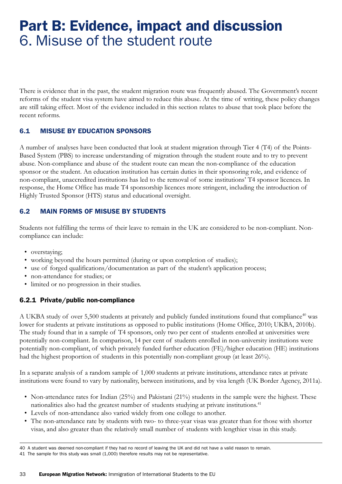# Part B: Evidence, impact and discussion 6. Misuse of the student route

There is evidence that in the past, the student migration route was frequently abused. The Government's recent reforms of the student visa system have aimed to reduce this abuse. At the time of writing, these policy changes are still taking effect. Most of the evidence included in this section relates to abuse that took place before the recent reforms.

### 6.1 MISUSE BY EDUCATION SPONSORS

A number of analyses have been conducted that look at student migration through Tier 4 (T4) of the Points-Based System (PBS) to increase understanding of migration through the student route and to try to prevent abuse. Non-compliance and abuse of the student route can mean the non-compliance of the education sponsor or the student. An education institution has certain duties in their sponsoring role, and evidence of non-compliant, unaccredited institutions has led to the removal of some institutions' T4 sponsor licences. In response, the Home Office has made T4 sponsorship licences more stringent, including the introduction of Highly Trusted Sponsor (HTS) status and educational oversight.

### 6.2 MAIN FORMS OF MISUSE BY STUDENTS

Students not fulfilling the terms of their leave to remain in the UK are considered to be non-compliant. Noncompliance can include:

- overstaying;
- working beyond the hours permitted (during or upon completion of studies);
- use of forged qualifications/documentation as part of the student's application process;
- non-attendance for studies; or
- • limited or no progression in their studies.

### 6.2.1 Private/public non-compliance

A UKBA study of over 5,500 students at privately and publicly funded institutions found that compliance<sup>40</sup> was lower for students at private institutions as opposed to public institutions (Home Office, 2010; UKBA, 2010b). The study found that in a sample of T4 sponsors, only two per cent of students enrolled at universities were potentially non-compliant. In comparison, 14 per cent of students enrolled in non-university institutions were potentially non-compliant, of which privately funded further education (FE)/higher education (HE) institutions had the highest proportion of students in this potentially non-compliant group (at least 26%).

In a separate analysis of a random sample of 1,000 students at private institutions, attendance rates at private institutions were found to vary by nationality, between institutions, and by visa length (UK Border Agency, 2011a).

- Non-attendance rates for Indian (25%) and Pakistani (21%) students in the sample were the highest. These nationalities also had the greatest number of students studying at private institutions.<sup>41</sup>
- Levels of non-attendance also varied widely from one college to another.
- The non-attendance rate by students with two- to three-year visas was greater than for those with shorter visas, and also greater than the relatively small number of students with lengthier visas in this study.

<sup>40</sup> A student was deemed non-compliant if they had no record of leaving the UK and did not have a valid reason to remain.

<sup>41</sup> The sample for this study was small (1,000) therefore results may not be representative.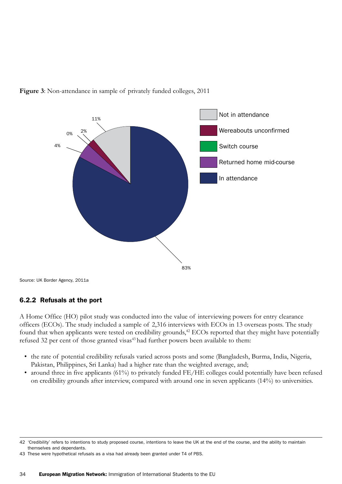



Source: UK Border Agency, 2011a

#### 6.2.2 Refusals at the port

A Home Office (HO) pilot study was conducted into the value of interviewing powers for entry clearance officers (ECOs). The study included a sample of 2,316 interviews with ECOs in 13 overseas posts. The study found that when applicants were tested on credibility grounds,<sup>42</sup> ECOs reported that they might have potentially refused 32 per cent of those granted visas<sup>43</sup> had further powers been available to them:

- the rate of potential credibility refusals varied across posts and some (Bangladesh, Burma, India, Nigeria, Pakistan, Philippines, Sri Lanka) had a higher rate than the weighted average, and;
- around three in five applicants (61%) to privately funded FE/HE colleges could potentially have been refused on credibility grounds after interview, compared with around one in seven applicants (14%) to universities.

<sup>42</sup> 'Credibility' refers to intentions to study proposed course, intentions to leave the UK at the end of the course, and the ability to maintain themselves and dependants.

<sup>43</sup> These were hypothetical refusals as a visa had already been granted under T4 of PBS.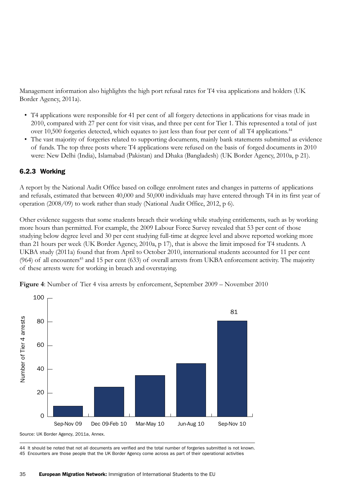Management information also highlights the high port refusal rates for T4 visa applications and holders (UK Border Agency, 2011a).

- • T4 applications were responsible for 41 per cent of all forgery detections in applications for visas made in 2010, compared with 27 per cent for visit visas, and three per cent for Tier 1. This represented a total of just over 10,500 forgeries detected, which equates to just less than four per cent of all T4 applications.<sup>44</sup>
- • The vast majority of forgeries related to supporting documents, mainly bank statements submitted as evidence of funds. The top three posts where T4 applications were refused on the basis of forged documents in 2010 were: New Delhi (India), Islamabad (Pakistan) and Dhaka (Bangladesh) (UK Border Agency, 2010a, p 21).

### 6.2.3 Working

A report by the National Audit Office based on college enrolment rates and changes in patterns of applications and refusals, estimated that between 40,000 and 50,000 individuals may have entered through T4 in its first year of operation (2008/09) to work rather than study (National Audit Office, 2012, p 6).

Other evidence suggests that some students breach their working while studying entitlements, such as by working more hours than permitted. For example, the 2009 Labour Force Survey revealed that 53 per cent of those studying below degree level and 30 per cent studying full-time at degree level and above reported working more than 21 hours per week (UK Border Agency, 2010a, p 17), that is above the limit imposed for T4 students. A UKBA study (2011a) found that from April to October 2010, international students accounted for 11 per cent (964) of all encounters<sup>45</sup> and 15 per cent (633) of overall arrests from UKBA enforcement activity. The majority of these arrests were for working in breach and overstaying.



**Figure 4**: Number of Tier 4 visa arrests by enforcement, September 2009 – November 2010

44 It should be noted that not all documents are verified and the total number of forgeries submitted is not known. 45 Encounters are those people that the UK Border Agency come across as part of their operational activities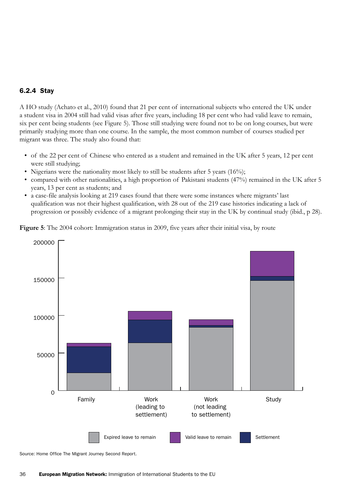#### 6.2.4 Stay

A HO study (Achato et al., 2010) found that 21 per cent of international subjects who entered the UK under a student visa in 2004 still had valid visas after five years, including 18 per cent who had valid leave to remain, six per cent being students (see Figure 5). Those still studying were found not to be on long courses, but were primarily studying more than one course. In the sample, the most common number of courses studied per migrant was three. The study also found that:

- of the 22 per cent of Chinese who entered as a student and remained in the UK after 5 years, 12 per cent were still studying;
- Nigerians were the nationality most likely to still be students after 5 years  $(16\%)$ ;
- compared with other nationalities, a high proportion of Pakistani students (47%) remained in the UK after 5 years, 13 per cent as students; and
- • a case-file analysis looking at 219 cases found that there were some instances where migrants' last qualification was not their highest qualification, with 28 out of the 219 case histories indicating a lack of progression or possibly evidence of a migrant prolonging their stay in the UK by continual study (ibid., p 28).

**Figure 5**: The 2004 cohort: Immigration status in 2009, five years after their initial visa, by route



Source: Home Office The Migrant Journey Second Report.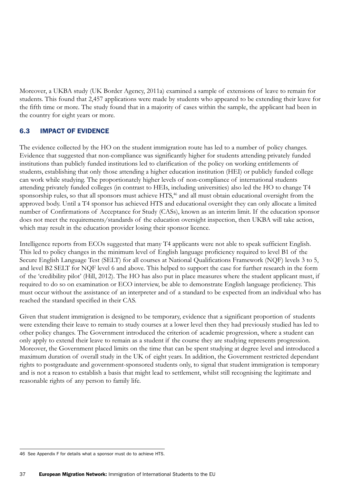Moreover, a UKBA study (UK Border Agency, 2011a) examined a sample of extensions of leave to remain for students. This found that 2,457 applications were made by students who appeared to be extending their leave for the fifth time or more. The study found that in a majority of cases within the sample, the applicant had been in the country for eight years or more.

### 6.3 IMPACT OF EVIDENCE

The evidence collected by the HO on the student immigration route has led to a number of policy changes. Evidence that suggested that non-compliance was significantly higher for students attending privately funded institutions than publicly funded institutions led to clarification of the policy on working entitlements of students, establishing that only those attending a higher education institution (HEI) or publicly funded college can work while studying. The proportionately higher levels of non-compliance of international students attending privately funded colleges (in contrast to HEIs, including universities) also led the HO to change T4 sponsorship rules, so that all sponsors must achieve HTS,<sup>46</sup> and all must obtain educational oversight from the approved body. Until a T4 sponsor has achieved HTS and educational oversight they can only allocate a limited number of Confirmations of Acceptance for Study (CASs), known as an interim limit. If the education sponsor does not meet the requirements/standards of the education oversight inspection, then UKBA will take action, which may result in the education provider losing their sponsor licence.

Intelligence reports from ECOs suggested that many T4 applicants were not able to speak sufficient English. This led to policy changes in the minimum level of English language proficiency required to level B1 of the Secure English Language Test (SELT) for all courses at National Qualifications Framework (NQF) levels 3 to 5, and level B2 SELT for NQF level 6 and above. This helped to support the case for further research in the form of the 'credibility pilot' (Hill, 2012). The HO has also put in place measures where the student applicant must, if required to do so on examination or ECO interview, be able to demonstrate English language proficiency. This must occur without the assistance of an interpreter and of a standard to be expected from an individual who has reached the standard specified in their CAS.

Given that student immigration is designed to be temporary, evidence that a significant proportion of students were extending their leave to remain to study courses at a lower level then they had previously studied has led to other policy changes. The Government introduced the criterion of academic progression, where a student can only apply to extend their leave to remain as a student if the course they are studying represents progression. Moreover, the Government placed limits on the time that can be spent studying at degree level and introduced a maximum duration of overall study in the UK of eight years. In addition, the Government restricted dependant rights to postgraduate and government-sponsored students only, to signal that student immigration is temporary and is not a reason to establish a basis that might lead to settlement, whilst still recognising the legitimate and reasonable rights of any person to family life.

<sup>46</sup> See Appendix F for details what a sponsor must do to achieve HTS.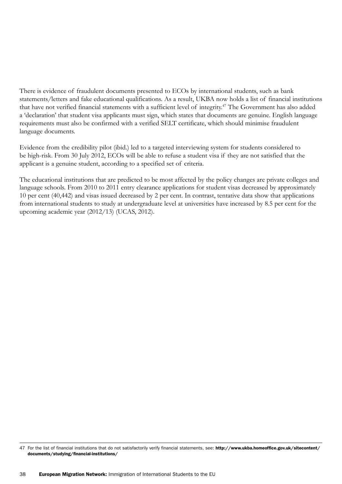There is evidence of fraudulent documents presented to ECOs by international students, such as bank statements/letters and fake educational qualifications. As a result, UKBA now holds a list of financial institutions that have not verified financial statements with a sufficient level of integrity.<sup>47</sup> The Government has also added a 'declaration' that student visa applicants must sign, which states that documents are genuine. English language requirements must also be confirmed with a verified SELT certificate, which should minimise fraudulent language documents.

Evidence from the credibility pilot (ibid.) led to a targeted interviewing system for students considered to be high-risk. From 30 July 2012, ECOs will be able to refuse a student visa if they are not satisfied that the applicant is a genuine student, according to a specified set of criteria.

The educational institutions that are predicted to be most affected by the policy changes are private colleges and language schools. From 2010 to 2011 entry clearance applications for student visas decreased by approximately 10 per cent (40,442) and visas issued decreased by 2 per cent. In contrast, tentative data show that applications from international students to study at undergraduate level at universities have increased by 8.5 per cent for the upcoming academic year (2012/13) (UCAS, 2012).

<sup>47</sup> For the list of financial institutions that do not satisfactorily verify financial statements, see: [http://www.ukba.homeoffice.gov.uk/sitecontent/](http://www.ukba.homeoffice.gov.uk/sitecontent/documents/studying/financial) [documents/studying/financial-](http://www.ukba.homeoffice.gov.uk/sitecontent/documents/studying/financial)institutions/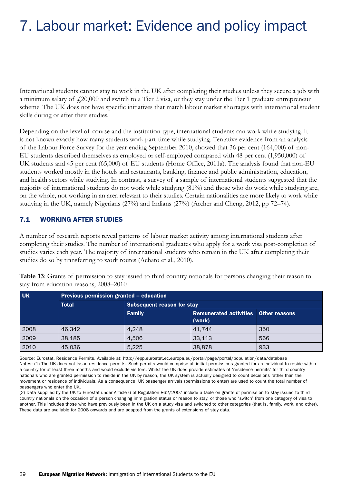# 7. Labour market: Evidence and policy impact

International students cannot stay to work in the UK after completing their studies unless they secure a job with a minimum salary of  $\text{\textsterling}20,000$  and switch to a Tier 2 visa, or they stay under the Tier 1 graduate entrepreneur scheme. The UK does not have specific initiatives that match labour market shortages with international student skills during or after their studies.

Depending on the level of course and the institution type, international students can work while studying. It is not known exactly how many students work part-time while studying. Tentative evidence from an analysis of the Labour Force Survey for the year ending September 2010, showed that 36 per cent (164,000) of non-EU students described themselves as employed or self-employed compared with 48 per cent (1,950,000) of UK students and 45 per cent (65,000) of EU students (Home Office, 2011a). The analysis found that non-EU students worked mostly in the hotels and restaurants, banking, finance and public administration, education, and health sectors while studying. In contrast, a survey of a sample of international students suggested that the majority of international students do not work while studying (81%) and those who do work while studying are, on the whole, not working in an area relevant to their studies. Certain nationalities are more likely to work while studying in the UK, namely Nigerians (27%) and Indians (27%) (Archer and Cheng, 2012, pp 72–74).

### 7.1 WORKING AFTER STUDIES

A number of research reports reveal patterns of labour market activity among international students after completing their studies. The number of international graduates who apply for a work visa post-completion of studies varies each year. The majority of international students who remain in the UK after completing their studies do so by transferring to work routes (Achato et al., 2010).

| <b>UK</b> | Previous permission granted - education |                                   |                                             |     |
|-----------|-----------------------------------------|-----------------------------------|---------------------------------------------|-----|
|           | <b>Total</b>                            | <b>Subsequent reason for stay</b> |                                             |     |
|           |                                         | <b>Family</b>                     | <b>Remunerated activities Other reasons</b> |     |
|           |                                         |                                   | (work)                                      |     |
| 2008      | 46,342                                  | 4.248                             | 41.744                                      | 350 |
| 2009      | 38,185                                  | 4.506                             | 33,113                                      | 566 |
| 2010      | 45,036                                  | 5,225                             | 38,878                                      | 933 |

**Table 13**: Grants of permission to stay issued to third country nationals for persons changing their reason to stay from education reasons, 2008–2010

Source: Eurostat, Residence Permits. Available at:<http://epp.eurostat.ec.europa.eu/portal/page/portal/population/data/database> Notes: (1) The UK does not issue residence permits. Such permits would comprise all initial permissions granted for an individual to reside within a country for at least three months and would exclude visitors. Whilst the UK does provide estimates of 'residence permits' for third country nationals who are granted permission to reside in the UK by reason, the UK system is actually designed to count decisions rather than the movement or residence of individuals. As a consequence, UK passenger arrivals (permissions to enter) are used to count the total number of passengers who enter the UK.

(2) Data supplied by the UK to Eurostat under Article 6 of Regulation 862/2007 include a table on grants of permission to stay issued to third country nationals on the occasion of a person changing immigration status or reason to stay, or those who 'switch' from one category of visa to another. This includes those who have previously been in the UK on a study visa and switched to other categories (that is, family, work, and other). These data are available for 2008 onwards and are adapted from the grants of extensions of stay data.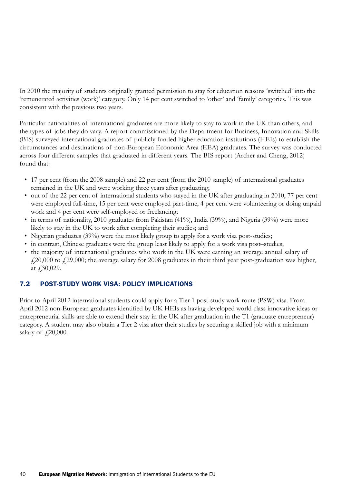In 2010 the majority of students originally granted permission to stay for education reasons 'switched' into the 'remunerated activities (work)' category. Only 14 per cent switched to 'other' and 'family' categories. This was consistent with the previous two years.

Particular nationalities of international graduates are more likely to stay to work in the UK than others, and the types of jobs they do vary. A report commissioned by the Department for Business, Innovation and Skills (BIS) surveyed international graduates of publicly funded higher education institutions (HEIs) to establish the circumstances and destinations of non-European Economic Area (EEA) graduates. The survey was conducted across four different samples that graduated in different years. The BIS report (Archer and Cheng, 2012) found that:

- • 17 per cent (from the 2008 sample) and 22 per cent (from the 2010 sample) of international graduates remained in the UK and were working three years after graduating;
- • out of the 22 per cent of international students who stayed in the UK after graduating in 2010, 77 per cent were employed full-time, 15 per cent were employed part-time, 4 per cent were volunteering or doing unpaid work and 4 per cent were self-employed or freelancing;
- in terms of nationality, 2010 graduates from Pakistan  $(41\%)$ , India  $(39\%)$ , and Nigeria  $(39\%)$  were more likely to stay in the UK to work after completing their studies; and
- Nigerian graduates (39%) were the most likely group to apply for a work visa post-studies;
- in contrast, Chinese graduates were the group least likely to apply for a work visa post–studies;
- the majority of international graduates who work in the UK were earning an average annual salary of  $f_{120,000}$  to  $f_{129,000}$ ; the average salary for 2008 graduates in their third year post-graduation was higher, at £30,029.

### 7.2 POST-STUDY WORK VISA: POLICY IMPLICATIONS

Prior to April 2012 international students could apply for a Tier 1 post-study work route (PSW) visa. From April 2012 non-European graduates identified by UK HEIs as having developed world class innovative ideas or entrepreneurial skills are able to extend their stay in the UK after graduation in the T1 (graduate entrepreneur) category. A student may also obtain a Tier 2 visa after their studies by securing a skilled job with a minimum salary of  $\sqrt{20,000}$ .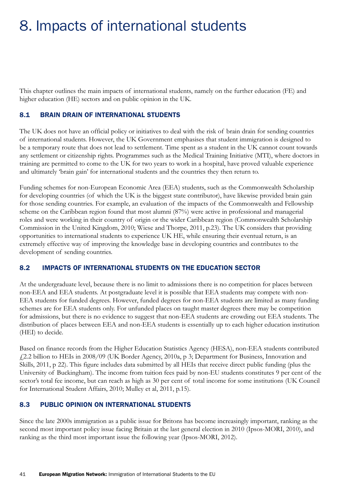# 8. Impacts of international students

This chapter outlines the main impacts of international students, namely on the further education (FE) and higher education (HE) sectors and on public opinion in the UK.

### 8.1 BRAIN DRAIN OF INTERNATIONAL STUDENTS

The UK does not have an official policy or initiatives to deal with the risk of brain drain for sending countries of international students. However, the UK Government emphasises that student immigration is designed to be a temporary route that does not lead to settlement. Time spent as a student in the UK cannot count towards any settlement or citizenship rights. Programmes such as the Medical Training Initiative (MTI), where doctors in training are permitted to come to the UK for two years to work in a hospital, have proved valuable experience and ultimately 'brain gain' for international students and the countries they then return to.

Funding schemes for non-European Economic Area (EEA) students, such as the Commonwealth Scholarship for developing countries (of which the UK is the biggest state contributor), have likewise provided brain gain for those sending countries. For example, an evaluation of the impacts of the Commonwealth and Fellowship scheme on the Caribbean region found that most alumni (87%) were active in professional and managerial roles and were working in their country of origin or the wider Caribbean region (Commonwealth Scholarship Commission in the United Kingdom, 2010; Wiese and Thorpe, 2011, p.23). The UK considers that providing opportunities to international students to experience UK HE, while ensuring their eventual return, is an extremely effective way of improving the knowledge base in developing countries and contributes to the development of sending countries.

### 8.2 IMPACTS OF INTERNATIONAL STUDENTS ON THE EDUCATION SECTOR

At the undergraduate level, because there is no limit to admissions there is no competition for places between non-EEA and EEA students. At postgraduate level it is possible that EEA students may compete with non-EEA students for funded degrees. However, funded degrees for non-EEA students are limited as many funding schemes are for EEA students only. For unfunded places on taught master degrees there may be competition for admissions, but there is no evidence to suggest that non-EEA students are crowding out EEA students. The distribution of places between EEA and non-EEA students is essentially up to each higher education institution (HEI) to decide.

Based on finance records from the Higher Education Statistics Agency (HESA), non-EEA students contributed £2.2 billion to HEIs in 2008/09 (UK Border Agency, 2010a, p 3; Department for Business, Innovation and Skills, 2011, p 22). This figure includes data submitted by all HEIs that receive direct public funding (plus the University of Buckingham). The income from tuition fees paid by non-EU students constitutes 9 per cent of the sector's total fee income, but can reach as high as 30 per cent of total income for some institutions (UK Council for International Student Affairs, 2010; Mulley et al, 2011, p.15).

### 8.3 PUBLIC OPINION ON INTERNATIONAL STUDENTS

Since the late 2000s immigration as a public issue for Britons has become increasingly important, ranking as the second most important policy issue facing Britain at the last general election in 2010 (Ipsos-MORI, 2010), and ranking as the third most important issue the following year (Ipsos-MORI, 2012).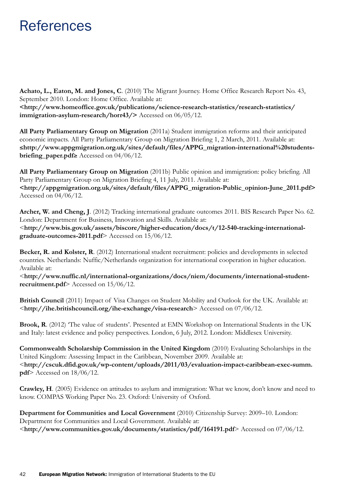## References

**Achato, L., Eaton, M. and Jones, C**. (2010) The Migrant Journey. Home Office Research Report No. 43, September 2010. London: Home Office. Available at: **[<http://www.homeoffice.gov.uk/publications/science-research-statistics/research-statistics/](http://www.homeoffice.gov.uk/publications/science-research-statistics/research-statistics/immigration-asylum-research/horr43) [immigration-asylum-research/horr43](http://www.homeoffice.gov.uk/publications/science-research-statistics/research-statistics/immigration-asylum-research/horr43)/>** Accessed on 06/05/12.

**All Party Parliamentary Group on Migration** (2011a) Student immigration reforms and their anticipated economic impacts. All Party Parliamentary Group on Migration Briefing 1, 2 March, 2011. Available at: ≤**[http://www.appgmigration.org.uk/sites/default/files/APPG\\_migration](http://www.appgmigration.org.uk/sites/default/files/APPG_migration)-international[%20students](20students-briefing_paper.pdf)[briefing\\_paper.pdf](20students-briefing_paper.pdf)**≥ Accessed on 04/06/12.

**All Party Parliamentary Group on Migration** (2011b) Public opinion and immigration: policy briefing. All Party Parliamentary Group on Migration Briefing 4, 11 July, 2011. Available at: **[<http://appgmigration.org.uk/sites/default/files/APPG\\_migration-Public\\_opinion-June\\_2011.pdf](http://appgmigration.org.uk/sites/default/files/APPG_migration-Public_opinion-June_2011.pdf)>** Accessed on 04/06/12.

**Archer, W. and Cheng, J**. (2012) Tracking international graduate outcomes 2011. BIS Research Paper No. 62. London: Department for Business, Innovation and Skills. Available at: <**[http://www.bis.gov.uk/assets/biscore/higher-education/docs/t/12-540-tracking-international](http://www.bis.gov.uk/assets/biscore/higher-education/docs/t/12-540-tracking-international-graduate-outcomes-2011.pdf)[graduate-outcomes-2011.pdf](http://www.bis.gov.uk/assets/biscore/higher-education/docs/t/12-540-tracking-international-graduate-outcomes-2011.pdf)**> Accessed on 15/06/12.

**Becker, R. and Kolster, R**. (2012) International student recruitment: policies and developments in selected countries. Netherlands: Nuffic/Netherlands organization for international cooperation in higher education. Available at:

<**[http://www.nuffic.nl/international-organizations/docs/niem/documents/international-student](http://www.nuffic.nl/international-organizations/docs/niem/documents/international-student-recruitment.pdf)[recruitment.pdf](http://www.nuffic.nl/international-organizations/docs/niem/documents/international-student-recruitment.pdf)**> Accessed on 15/06/12.

**British Council** (2011) Impact of Visa Changes on Student Mobility and Outlook for the UK. Available at: <**<http://ihe.britishcouncil.org/ihe-exchange/visa>-research**> Accessed on 07/06/12.

**Brook, R**. (2012) 'The value of students'. Presented at EMN Workshop on International Students in the UK and Italy: latest evidence and policy perspectives. London, 6 July, 2012. London: Middlesex University.

**Commonwealth Scholarship Commission in the United Kingdom** (2010) Evaluating Scholarships in the United Kingdom: Assessing Impact in the Caribbean, November 2009. Available at: <**[http://cscuk.dfid.gov.uk/wp-content/uploads/2011/03/evaluation-impact-caribbean-exec-summ.](http://cscuk.dfid.gov.uk/wp-content/uploads/2011/03/evaluation-impact-caribbean-exec-summ.pdf) [pdf](http://cscuk.dfid.gov.uk/wp-content/uploads/2011/03/evaluation-impact-caribbean-exec-summ.pdf)**> Accessed on 18/06/12.

**Crawley, H**. (2005) Evidence on attitudes to asylum and immigration: What we know, don't know and need to know. COMPAS Working Paper No. 23. Oxford: University of Oxford.

**Department for Communities and Local Government** (2010) Citizenship Survey: 2009–10. London: Department for Communities and Local Government. Available at: <**<http://www.communities.gov.uk/documents/statistics/pdf/164191.pdf>**> Accessed on 07/06/12.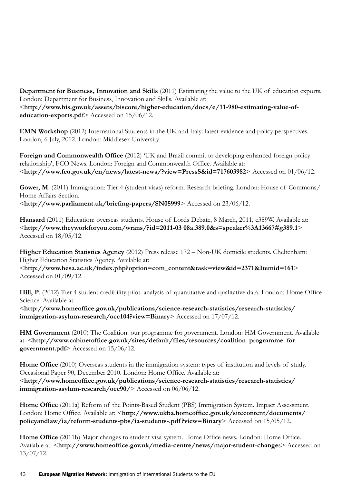**Department for Business, Innovation and Skills** (2011) Estimating the value to the UK of education exports. London: Department for Business, Innovation and Skills. Available at: <**[http://www.bis.gov.uk/assets/biscore/higher-education/docs/e/11-980-estimating-value-of](http://www.bis.gov.uk/assets/biscore/higher-education/docs/e/11-980-estimating-value-of-education-exports.pdf)[education-exports.pdf](http://www.bis.gov.uk/assets/biscore/higher-education/docs/e/11-980-estimating-value-of-education-exports.pdf)**> Accessed on 15/06/12.

**EMN Workshop** (2012) International Students in the UK and Italy: latest evidence and policy perspectives. London, 6 July, 2012. London: Middlesex University.

**Foreign and Commonwealth Office** (2012) 'UK and Brazil commit to developing enhanced foreign policy relationship', FCO News. London: Foreign and Commonwealth Office. Available at: <**<http://www.fco.gov.uk/en/news/latest>-news/?view=PressS&id=717603982**> Accessed on 01/06/12.

Gower, M. (2011) Immigration: Tier 4 (student visas) reform. Research briefing. London: House of Commons/ Home Affairs Section. <**<http://www.parliament.uk/briefing-papers/SN05999>**> Accessed on 23/06/12.

**Hansard** (2011) Education: overseas students. House of Lords Debate, 8 March, 2011, c389W. Available at: <**<http://www.theyworkforyou.com/wrans/?id=2011-03> 08a.389.0&s=speaker%3A13667#g389.1**> Accessed on 18/05/12.

**Higher Education Statistics Agency** (2012) Press release 172 – Non-UK domicile students. Cheltenham: Higher Education Statistics Agency. Available at:

<**[http://www.hesa.ac.uk/index.php?option=com\\_content&task=view&id=2371&Itemid=161](http://www.hesa.ac.uk/index.php?option=com_content&task=view&id=2371&Itemid=161)**> Accessed on 01/09/12.

**Hill, P**. (2012) Tier 4 student credibility pilot: analysis of quantitative and qualitative data. London: Home Office Science. Available at:

<**[http://www.homeoffice.gov.uk/publications/science-research-statistics/research-statistics/](http://www.homeoffice.gov.uk/publications/science-research-statistics/research-statistics/immigration-asylum-research/occ104?view=Binary) [immigration-asylum-research/occ104?view=Binary](http://www.homeoffice.gov.uk/publications/science-research-statistics/research-statistics/immigration-asylum-research/occ104?view=Binary)**> Accessed on 17/07/12.

**HM Government** (2010) The Coalition: our programme for government. London: HM Government. Available at: <**[http://www.cabinetoffice.gov.uk/sites/default/files/resources/coalition\\_programme\\_for\\_](http://www.cabinetoffice.gov.uk/sites/default/files/resources/coalition_programme_for_government.pdf) [government.pdf](http://www.cabinetoffice.gov.uk/sites/default/files/resources/coalition_programme_for_government.pdf)**> Accessed on 15/06/12.

**Home Office** (2010) Overseas students in the immigration system: types of institution and levels of study. Occasional Paper 90, December 2010. London: Home Office. Available at: <**[http://www.homeoffice.gov.uk/publications/science-research-statistics/research-statistics/](http://www.homeoffice.gov.uk/publications/science-research-statistics/research-statistics/immigration-asylum-research/occ90) [immigration-asylum-research/occ90](http://www.homeoffice.gov.uk/publications/science-research-statistics/research-statistics/immigration-asylum-research/occ90)/**> Accessed on 06/06/12.

**Home Office** (2011a) Reform of the Points-Based Student (PBS) Immigration System. Impact Assessment. London: Home Office. Available at: <**[http://www.ukba.homeoffice.gov.uk/sitecontent/documents/](http://www.ukba.homeoffice.gov.uk/sitecontent/documents/policyandlaw/ia/reform-students-pbs/ia-students-.pdf?view=Binary) [policyandlaw/ia/reform-students-pbs/ia-students-.pdf ?view=Binary](http://www.ukba.homeoffice.gov.uk/sitecontent/documents/policyandlaw/ia/reform-students-pbs/ia-students-.pdf?view=Binary)**> Accessed on 15/05/12.

**Home Office** (2011b) Major changes to student visa system. Home Office news. London: Home Office. Available at: <**[http://www.homeoffice.gov.uk/media-centre/news/major-](http://www.homeoffice.gov.uk/media-centre/news/major)student-change**s> Accessed on 13/07/12.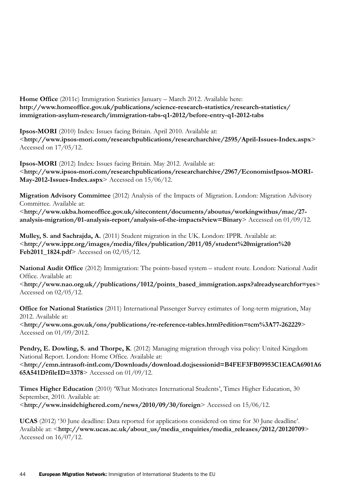**Home Office** (2011c) Immigration Statistics January – March 2012. Available here: **[http://www.homeoffice.gov.uk/publications/science-research-statistics/research-statistics/](http://www.homeoffice.gov.uk/publications/science-research-statistics/research-statistics/immigration-asylum-research/immigration-tabs-q1-2012/before) [immigration-asylum-research/immigration-tabs-q1-2012/before](http://www.homeoffice.gov.uk/publications/science-research-statistics/research-statistics/immigration-asylum-research/immigration-tabs-q1-2012/before)-entry-q1-2012-tabs**

**Ipsos-MORI** (2010) Index: Issues facing Britain. April 2010. Available at: <**<http://www.ipsos-mori.com/researchpublications/researcharchive/2595/April-Issues-Index.aspx>**> Accessed on 17/05/12.

**Ipsos-MORI** (2012) Index: Issues facing Britain. May 2012. Available at: <**[http://www.ipsos-mori.com/researchpublications/researcharchive/2967/EconomistIpsos-MORI-](http://www.ipsos-mori.com/researchpublications/researcharchive/2967/EconomistIpsos-MORI-May-2012-Issues-Index.aspx)[May-2012-Issues-Index.aspx](http://www.ipsos-mori.com/researchpublications/researcharchive/2967/EconomistIpsos-MORI-May-2012-Issues-Index.aspx)**> Accessed on 15/06/12.

**Migration Advisory Committee** (2012) Analysis of the Impacts of Migration. London: Migration Advisory Committee. Available at:

<**[http://www.ukba.homeoffice.gov.uk/sitecontent/documents/aboutus/workingwithus/mac/27](http://www.ukba.homeoffice.gov.uk/sitecontent/documents/aboutus/workingwithus/mac/27-analysis-migration/01-analysis-report/analysis) [analysis-migration/01-analysis-report/analysis](http://www.ukba.homeoffice.gov.uk/sitecontent/documents/aboutus/workingwithus/mac/27-analysis-migration/01-analysis-report/analysis)-of-the-impacts?view=Binary**> Accessed on 01/09/12.

**Mulley, S. and Sachrajda, A.** (2011) Student migration in the UK. London: IPPR. Available at: <**<http://www.ippr.org/images/media/files/publication/2011/05/student>%20migration%[20](20Feb2011_1824.pdf) [Feb2011\\_1824.pdf](20Feb2011_1824.pdf)**> Accessed on 02/05/12.

**National Audit Office** (2012) Immigration: The points-based system – student route. London: National Audit Office. Available at: <**<http://www.nao.org.uk>//publications/1012/[points\\_based\\_immigration.aspx?](points_based_immigration.aspx)alreadysearchfor=yes**> Accessed on 02/05/12.

**Office for National Statistics** (2011) International Passenger Survey estimates of long-term migration, May 2012. Available at:

<**<http://www.ons.gov.uk/ons/publications/re-reference-tables.html?edition=tcm%3A77-262229>**> Accessed on 01/09/2012.

**Pendry, E. Dowling, S. and Thorpe, K**. (2012) Managing migration through visa policy: United Kingdom National Report. London: Home Office. Available at: <**[http://emn.intrasoft-intl.com/Downloads/download.do;](http://emn.intrasoft-intl.com/Downloads/download.do)jsessionid=B4FEF3FB09953C1EACA6901A6 65A541D?fileID=3378**> Accessed on 01/09/12.

**Times Higher Education** (2010) 'What Motivates International Students', Times Higher Education, 30 September, 2010. Available at: <**<http://www.insidehighered.com/news/2010/09/30/foreign>**> Accessed on 15/06/12.

**UCAS** (2012) '30 June deadline: Data reported for applications considered on time for 30 June deadline'. Available at: <**[http://www.ucas.ac.uk/about\\_us/media\\_enquiries/media\\_releases/2012/20120709](http://www.ucas.ac.uk/about_us/media_enquiries/media_releases/2012/20120709)**> Accessed on 16/07/12.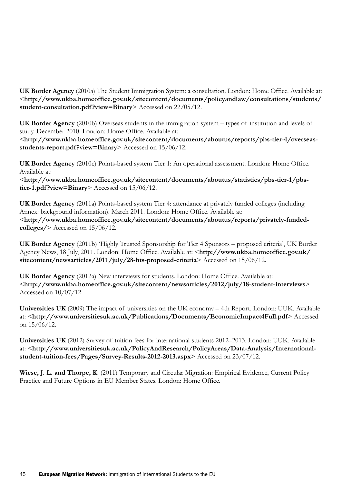**UK Border Agency** (2010a) The Student Immigration System: a consultation. London: Home Office. Available at: <**[http://www.ukba.homeoffice.gov.uk/sitecontent/documents/policyandlaw/consultations/students/](http://www.ukba.homeoffice.gov.uk/sitecontent/documents/policyandlaw/consultations/students/student-consultation.pdf?view=Binary) [student-consultation.pdf ?view=Binary](http://www.ukba.homeoffice.gov.uk/sitecontent/documents/policyandlaw/consultations/students/student-consultation.pdf?view=Binary)**> Accessed on 22/05/12.

**UK Border Agency** (2010b) Overseas students in the immigration system – types of institution and levels of study. December 2010. London: Home Office. Available at:

<**[http://www.ukba.homeoffice.gov.uk/sitecontent/documents/aboutus/reports/pbs-tier-4/overseas](http://www.ukba.homeoffice.gov.uk/sitecontent/documents/aboutus/reports/pbs-tier-4/overseas-students-report.pdf?view=Binary)[students-report.pdf ?view=Binary](http://www.ukba.homeoffice.gov.uk/sitecontent/documents/aboutus/reports/pbs-tier-4/overseas-students-report.pdf?view=Binary)**> Accessed on 15/06/12.

**UK Border Agency** (2010c) Points-based system Tier 1: An operational assessment. London: Home Office. Available at:

<**[http://www.ukba.homeoffice.gov.uk/sitecontent/documents/aboutus/statistics/pbs-tier-1/pbs](http://www.ukba.homeoffice.gov.uk/sitecontent/documents/aboutus/statistics/pbs-tier-1/pbs-tier-1.pdf?view=Binary)[tier-1.pdf ?view=Binary](http://www.ukba.homeoffice.gov.uk/sitecontent/documents/aboutus/statistics/pbs-tier-1/pbs-tier-1.pdf?view=Binary)**> Accessed on 15/06/12.

**UK Border Agency** (2011a) Points-based system Tier 4: attendance at privately funded colleges (including Annex: background information). March 2011. London: Home Office. Available at: <**[http://www.ukba.homeoffice.gov.uk/sitecontent/documents/aboutus/reports/privately-](http://www.ukba.homeoffice.gov.uk/sitecontent/documents/aboutus/reports/privately)fundedcolleges/**> Accessed on 15/06/12.

**UK Border Agency** (2011b) 'Highly Trusted Sponsorship for Tier 4 Sponsors – proposed criteria', UK Border Agency News, 18 July, 2011. London: Home Office. Available at: <**[http://www.ukba.homeoffice.gov.uk/](http://www.ukba.homeoffice.gov.uk/sitecontent/newsarticles/2011/july/28) [sitecontent/newsarticles/2011/july/28](http://www.ukba.homeoffice.gov.uk/sitecontent/newsarticles/2011/july/28)-hts-proposed-criteria**> Accessed on 15/06/12.

**UK Border Agency** (2012a) New interviews for students. London: Home Office. Available at: <**[http://www.ukba.homeoffice.gov.uk/sitecontent/newsarticles/2012/july/18-](http://www.ukba.homeoffice.gov.uk/sitecontent/newsarticles/2012/july/18)student-interviews**> Accessed on 10/07/12.

**Universities UK** (2009) The impact of universities on the UK economy – 4th Report. London: UUK. Available at: <**<http://www.universitiesuk.ac.uk/Publications/Documents/EconomicImpact4Full.pdf>**> Accessed on 15/06/12.

**Universities UK** (2012) Survey of tuition fees for international students 2012–2013. London: UUK. Available at: <**[http://www.universitiesuk.ac.uk/PolicyAndResearch/PolicyAreas/Data-Analysis/International](http://www.universitiesuk.ac.uk/PolicyAndResearch/PolicyAreas/Data-Analysis/International-student-tuition-fees/Pages/Survey-Results-2012-2013.aspx)[student-tuition-fees/Pages/Survey-Results-2012-2013.aspx](http://www.universitiesuk.ac.uk/PolicyAndResearch/PolicyAreas/Data-Analysis/International-student-tuition-fees/Pages/Survey-Results-2012-2013.aspx)**> Accessed on 23/07/12.

**Wiese, J. L. and Thorpe, K**. (2011) Temporary and Circular Migration: Empirical Evidence, Current Policy Practice and Future Options in EU Member States. London: Home Office.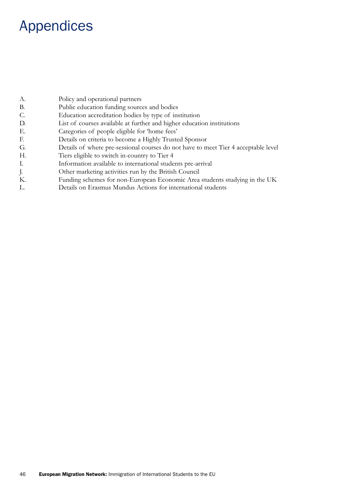# Appendices

| А. | Policy and operational partners                                                    |
|----|------------------------------------------------------------------------------------|
| В. | Public education funding sources and bodies                                        |
| C. | Education accreditation bodies by type of institution                              |
| D. | List of courses available at further and higher education institutions             |
| Е. | Categories of people eligible for 'home fees'                                      |
| E. | Details on criteria to become a Highly Trusted Sponsor                             |
| G. | Details of where pre-sessional courses do not have to meet Tier 4 acceptable level |
| Н. | Tiers eligible to switch in-country to Tier 4                                      |
| Ι. | Information available to international students pre-arrival                        |
| J. | Other marketing activities run by the British Council                              |
| К. | Funding schemes for non-European Economic Area students studying in the UK         |
| L. | Details on Erasmus Mundus Actions for international students                       |
|    |                                                                                    |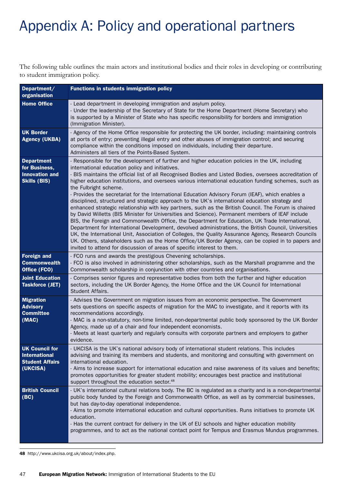# Appendix A: Policy and operational partners

The following table outlines the main actors and institutional bodies and their roles in developing or contributing to student immigration policy.

| Department/<br>organisation                                                         | <b>Functions in students immigration policy</b>                                                                                                                                                                                                                                                                                                                                                                                                                                                                                                                                                                                                                                                                                                                                                                                                                                                                                                                                                                                                                                                                                                                                                                                                                                                                        |
|-------------------------------------------------------------------------------------|------------------------------------------------------------------------------------------------------------------------------------------------------------------------------------------------------------------------------------------------------------------------------------------------------------------------------------------------------------------------------------------------------------------------------------------------------------------------------------------------------------------------------------------------------------------------------------------------------------------------------------------------------------------------------------------------------------------------------------------------------------------------------------------------------------------------------------------------------------------------------------------------------------------------------------------------------------------------------------------------------------------------------------------------------------------------------------------------------------------------------------------------------------------------------------------------------------------------------------------------------------------------------------------------------------------------|
| <b>Home Office</b>                                                                  | - Lead department in developing immigration and asylum policy.<br>- Under the leadership of the Secretary of State for the Home Department (Home Secretary) who<br>is supported by a Minister of State who has specific responsibility for borders and immigration<br>(Immigration Minister).                                                                                                                                                                                                                                                                                                                                                                                                                                                                                                                                                                                                                                                                                                                                                                                                                                                                                                                                                                                                                          |
| <b>UK Border</b><br><b>Agency (UKBA)</b>                                            | - Agency of the Home Office responsible for protecting the UK border, including: maintaining controls<br>at ports of entry; preventing illegal entry and other abuses of immigration control; and securing<br>compliance within the conditions imposed on individuals, including their departure.<br>Administers all tiers of the Points-Based System.                                                                                                                                                                                                                                                                                                                                                                                                                                                                                                                                                                                                                                                                                                                                                                                                                                                                                                                                                                 |
| <b>Department</b><br>for Business,<br><b>Innovation and</b><br><b>Skills (BIS)</b>  | - Responsible for the development of further and higher education policies in the UK, including<br>international education policy and initiatives.<br>- BIS maintains the official list of all Recognised Bodies and Listed Bodies, oversees accreditation of<br>higher education institutions, and oversees various international education funding schemes, such as<br>the Fulbright scheme.<br>- Provides the secretariat for the International Education Advisory Forum (IEAF), which enables a<br>disciplined, structured and strategic approach to the UK's international education strategy and<br>enhanced strategic relationship with key partners, such as the British Council. The Forum is chaired<br>by David Willetts (BIS Minister for Universities and Science). Permanent members of IEAF include<br>BIS, the Foreign and Commonwealth Office, the Department for Education, UK Trade International,<br>Department for International Development, devolved administrations, the British Council, Universities<br>UK, the International Unit, Association of Colleges, the Quality Assurance Agency, Research Councils<br>UK. Others, stakeholders such as the Home Office/UK Border Agency, can be copied in to papers and<br>invited to attend for discussion of areas of specific interest to them. |
| <b>Foreign and</b><br><b>Commonwealth</b><br>Office (FCO)                           | - FCO runs and awards the prestigious Chevening scholarships.<br>- FCO is also involved in administering other scholarships, such as the Marshall programme and the<br>Commonwealth scholarship in conjunction with other countries and organisations.                                                                                                                                                                                                                                                                                                                                                                                                                                                                                                                                                                                                                                                                                                                                                                                                                                                                                                                                                                                                                                                                 |
| <b>Joint Education</b><br><b>Taskforce (JET)</b>                                    | - Comprises senior figures and representative bodies from both the further and higher education<br>sectors, including the UK Border Agency, the Home Office and the UK Council for International<br>Student Affairs.                                                                                                                                                                                                                                                                                                                                                                                                                                                                                                                                                                                                                                                                                                                                                                                                                                                                                                                                                                                                                                                                                                   |
| <b>Migration</b><br><b>Advisory</b><br><b>Committee</b><br>(MAC)                    | - Advises the Government on migration issues from an economic perspective. The Government<br>sets questions on specific aspects of migration for the MAC to investigate, and it reports with its<br>recommendations accordingly.<br>- MAC is a non-statutory, non-time limited, non-departmental public body sponsored by the UK Border<br>Agency, made up of a chair and four independent economists.<br>- Meets at least quarterly and regularly consults with corporate partners and employers to gather<br>evidence.                                                                                                                                                                                                                                                                                                                                                                                                                                                                                                                                                                                                                                                                                                                                                                                               |
| <b>UK Council for</b><br><b>International</b><br><b>Student Affairs</b><br>(UKCISA) | - UKCISA is the UK's national advisory body of international student relations. This includes<br>advising and training its members and students, and monitoring and consulting with government on<br>international education.<br>- Aims to increase support for international education and raise awareness of its values and benefits;<br>promotes opportunities for greater student mobility; encourages best practice and institutional<br>support throughout the education sector. <sup>48</sup>                                                                                                                                                                                                                                                                                                                                                                                                                                                                                                                                                                                                                                                                                                                                                                                                                   |
| <b>British Council</b><br>(BC)                                                      | - UK's international cultural relations body. The BC is regulated as a charity and is a non-departmental<br>public body funded by the Foreign and Commonwealth Office, as well as by commercial businesses,<br>but has day-to-day operational independence.<br>- Aims to promote international education and cultural opportunities. Runs initiatives to promote UK<br>education.<br>- Has the current contract for delivery in the UK of EU schools and higher education mobility<br>programmes, and to act as the national contact point for Tempus and Erasmus Mundus programmes.                                                                                                                                                                                                                                                                                                                                                                                                                                                                                                                                                                                                                                                                                                                                   |

48 <http://www.ukcisa.org.uk/about/index.php>.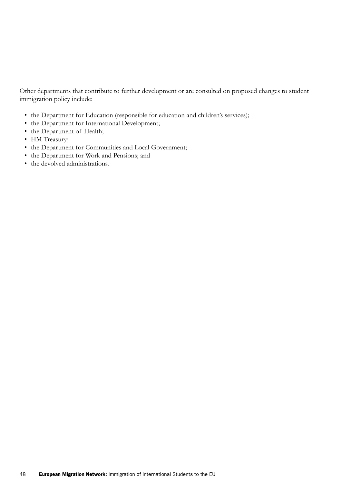Other departments that contribute to further development or are consulted on proposed changes to student immigration policy include:

- the Department for Education (responsible for education and children's services);
- the Department for International Development;
- the Department of Health;
- HM Treasury;
- the Department for Communities and Local Government;
- • the Department for Work and Pensions; and
- the devolved administrations.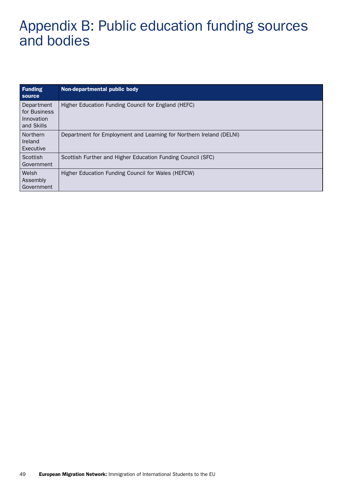# Appendix B: Public education funding sources and bodies

| <b>Funding</b><br><b>Source</b>                        | Non-departmental public body                                        |
|--------------------------------------------------------|---------------------------------------------------------------------|
| Department<br>for Business<br>Innovation<br>and Skills | Higher Education Funding Council for England (HEFC)                 |
| <b>Northern</b><br>Ireland<br>Executive                | Department for Employment and Learning for Northern Ireland (DELNI) |
| Scottish<br>Government                                 | Scottish Further and Higher Education Funding Council (SFC)         |
| Welsh<br>Assembly<br>Government                        | Higher Education Funding Council for Wales (HEFCW)                  |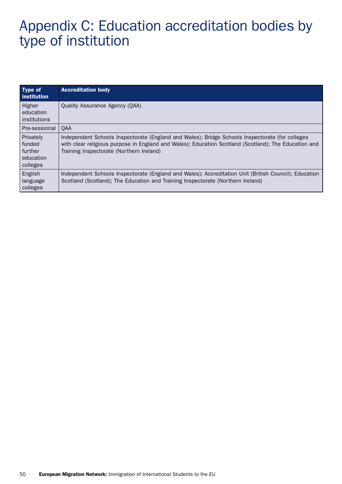# Appendix C: Education accreditation bodies by type of institution

| Type of<br><b>institution</b>                               | <b>Accreditation body</b>                                                                                                                                                                                                                           |
|-------------------------------------------------------------|-----------------------------------------------------------------------------------------------------------------------------------------------------------------------------------------------------------------------------------------------------|
| Higher<br>education<br>institutions                         | Quality Assurance Agency (QAA)                                                                                                                                                                                                                      |
| Pre-sessional                                               | QAA                                                                                                                                                                                                                                                 |
| Privately<br>I funded<br>l further<br>education<br>colleges | Independent Schools Inspectorate (England and Wales); Bridge Schools Inspectorate (for colleges<br>with clear religious purpose in England and Wales); Education Scotland (Scotland); The Education and<br>Training Inspectorate (Northern Ireland) |
| English<br>language<br>colleges                             | Independent Schools Inspectorate (England and Wales); Accreditation Unit (British Council); Education<br>Scotland (Scotland); The Education and Training Inspectorate (Northern Ireland)                                                            |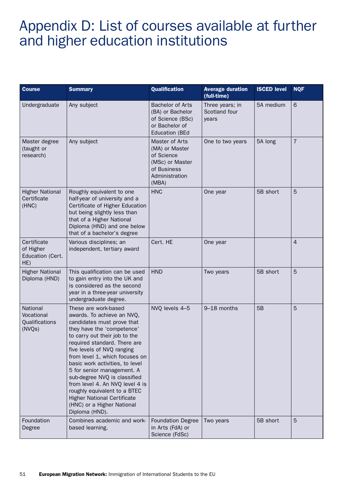# Appendix D: List of courses available at further and higher education institutions

| <b>Course</b>                                       | <b>Summary</b>                                                                                                                                                                                                                                                                                                                                                                                                                                                                                            | <b>Qualification</b>                                                                                        | <b>Average duration</b><br>(full-time)    | <b>ISCED level</b> | <b>NQF</b>     |
|-----------------------------------------------------|-----------------------------------------------------------------------------------------------------------------------------------------------------------------------------------------------------------------------------------------------------------------------------------------------------------------------------------------------------------------------------------------------------------------------------------------------------------------------------------------------------------|-------------------------------------------------------------------------------------------------------------|-------------------------------------------|--------------------|----------------|
| Undergraduate                                       | Any subject                                                                                                                                                                                                                                                                                                                                                                                                                                                                                               | <b>Bachelor of Arts</b><br>(BA) or Bachelor<br>of Science (BSc)<br>or Bachelor of<br><b>Education (BEd</b>  | Three years; in<br>Scotland four<br>years | 5A medium          | 6              |
| Master degree<br>(taught or<br>research)            | Any subject                                                                                                                                                                                                                                                                                                                                                                                                                                                                                               | Master of Arts<br>(MA) or Master<br>of Science<br>(MSc) or Master<br>of Business<br>Administration<br>(MBA) | One to two years                          | 5A long            | $\overline{7}$ |
| <b>Higher National</b><br>Certificate<br>(HNC)      | Roughly equivalent to one<br>half-year of university and a<br>Certificate of Higher Education<br>but being slightly less than<br>that of a Higher National<br>Diploma (HND) and one below<br>that of a bachelor's degree                                                                                                                                                                                                                                                                                  | <b>HNC</b>                                                                                                  | One year                                  | 5B short           | 5              |
| Certificate<br>of Higher<br>Education (Cert.<br>HE) | Various disciplines; an<br>independent, tertiary award                                                                                                                                                                                                                                                                                                                                                                                                                                                    | Cert. HE                                                                                                    | One year                                  |                    | $\overline{4}$ |
| <b>Higher National</b><br>Diploma (HND)             | This qualification can be used<br>to gain entry into the UK and<br>is considered as the second<br>year in a three-year university<br>undergraduate degree.                                                                                                                                                                                                                                                                                                                                                | <b>HND</b>                                                                                                  | Two years                                 | 5B short           | 5              |
| National<br>Vocational<br>Qualifications<br>(NVQs)  | These are work-based<br>awards. To achieve an NVQ,<br>candidates must prove that<br>they have the 'competence'<br>to carry out their job to the<br>required standard. There are<br>five levels of NVQ ranging<br>from level 1, which focuses on<br>basic work activities, to level<br>5 for senior management. A<br>sub-degree NVQ is classified<br>from level 4. An NVQ level 4 is<br>roughly equivalent to a BTEC<br><b>Higher National Certificate</b><br>(HNC) or a Higher National<br>Diploma (HND). | NVQ levels 4-5                                                                                              | 9-18 months                               | 5B                 | 5              |
| Foundation<br>Degree                                | Combines academic and work-<br>based learning.                                                                                                                                                                                                                                                                                                                                                                                                                                                            | <b>Foundation Degree</b><br>in Arts (FdA) or<br>Science (FdSc)                                              | Two years                                 | 5B short           | 5              |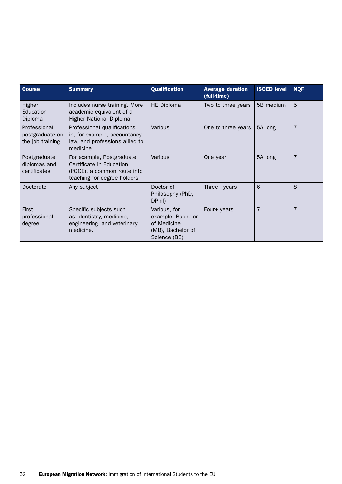| <b>Course</b>                                       | <b>Summary</b>                                                                                                      | <b>Qualification</b>                                                                  | <b>Average duration</b><br>(full-time) | <b>ISCED level</b> | <b>NQF</b>     |
|-----------------------------------------------------|---------------------------------------------------------------------------------------------------------------------|---------------------------------------------------------------------------------------|----------------------------------------|--------------------|----------------|
| Higher<br>Education<br>Diploma                      | Includes nurse training. More<br>academic equivalent of a<br><b>Higher National Diploma</b>                         | <b>HE Diploma</b>                                                                     | Two to three years                     | 5B medium          | 5              |
| Professional<br>postgraduate on<br>the job training | Professional qualifications<br>in, for example, accountancy,<br>law, and professions allied to<br>medicine          | Various                                                                               | One to three years                     | 5A long            | $\overline{7}$ |
| Postgraduate<br>diplomas and<br>certificates        | For example, Postgraduate<br>Certificate in Education<br>(PGCE), a common route into<br>teaching for degree holders | Various                                                                               | One year                               | 5A long            | $\overline{7}$ |
| Doctorate                                           | Any subject                                                                                                         | Doctor of<br>Philosophy (PhD,<br>DPhil)                                               | Three+ years                           | 6                  | 8              |
| First<br>professional<br>degree                     | Specific subjects such<br>as: dentistry, medicine,<br>engineering, and veterinary<br>medicine.                      | Various, for<br>example, Bachelor<br>of Medicine<br>(MB), Bachelor of<br>Science (BS) | Four+ years                            | $\overline{7}$     | $\overline{7}$ |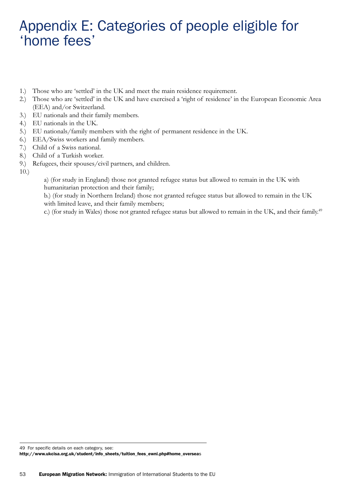## Appendix E: Categories of people eligible for 'home fees'

- 1.) Those who are 'settled' in the UK and meet the main residence requirement.
- 2.) Those who are 'settled' in the UK and have exercised a 'right of residence' in the European Economic Area (EEA) and/or Switzerland.
- 3.) EU nationals and their family members.
- 4.) EU nationals in the UK.
- 5.) EU nationals/family members with the right of permanent residence in the UK.
- 6.) EEA/Swiss workers and family members.
- 7.) Child of a Swiss national.
- 8.) Child of a Turkish worker.
- 9.) Refugees, their spouses/civil partners, and children.

10.)

a) (for study in England) those not granted refugee status but allowed to remain in the UK with humanitarian protection and their family;

b.) (for study in Northern Ireland) those not granted refugee status but allowed to remain in the UK with limited leave, and their family members;

c.) (for study in Wales) those not granted refugee status but allowed to remain in the UK, and their family.<sup>49</sup>

49 For specific details on each category, see: [http://www.ukcisa.org.uk/student/info\\_sheets/tuition\\_fees\\_ewni.php](http://www.ukcisa.org.uk/student/info_sheets/tuition_fees_ewni.php)#home\_overseas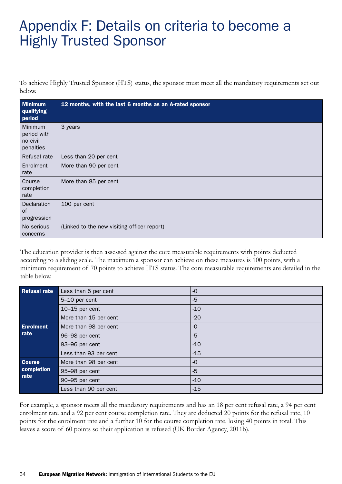# Appendix F: Details on criteria to become a Highly Trusted Sponsor

To achieve Highly Trusted Sponsor (HTS) status, the sponsor must meet all the mandatory requirements set out below.

| <b>Minimum</b><br>qualifying<br>period                 | 12 months, with the last 6 months as an A-rated sponsor |
|--------------------------------------------------------|---------------------------------------------------------|
| <b>Minimum</b><br>period with<br>no civil<br>penalties | 3 years                                                 |
| Refusal rate                                           | Less than 20 per cent                                   |
| Enrolment<br>rate                                      | More than 90 per cent                                   |
| Course<br>completion<br>rate                           | More than 85 per cent                                   |
| Declaration<br>of<br>progression                       | 100 per cent                                            |
| No serious<br>concerns                                 | (Linked to the new visiting officer report)             |

The education provider is then assessed against the core measurable requirements with points deducted according to a sliding scale. The maximum a sponsor can achieve on these measures is 100 points, with a minimum requirement of 70 points to achieve HTS status. The core measurable requirements are detailed in the table below.

| <b>Refusal rate</b> | Less than 5 per cent  | $-o$  |
|---------------------|-----------------------|-------|
|                     | 5-10 per cent         | $-5$  |
|                     | $10-15$ per cent      | $-10$ |
|                     | More than 15 per cent | $-20$ |
| <b>Enrolment</b>    | More than 98 per cent | $-0$  |
| rate                | 96-98 per cent        | $-5$  |
|                     | 93-96 per cent        | $-10$ |
|                     | Less than 93 per cent | $-15$ |
| <b>Course</b>       | More than 98 per cent | $-o$  |
| completion          | 95-98 per cent        | $-5$  |
| rate                | 90-95 per cent        | $-10$ |
|                     | Less than 90 per cent | $-15$ |

For example, a sponsor meets all the mandatory requirements and has an 18 per cent refusal rate, a 94 per cent enrolment rate and a 92 per cent course completion rate. They are deducted 20 points for the refusal rate, 10 points for the enrolment rate and a further 10 for the course completion rate, losing 40 points in total. This leaves a score of 60 points so their application is refused (UK Border Agency, 2011b).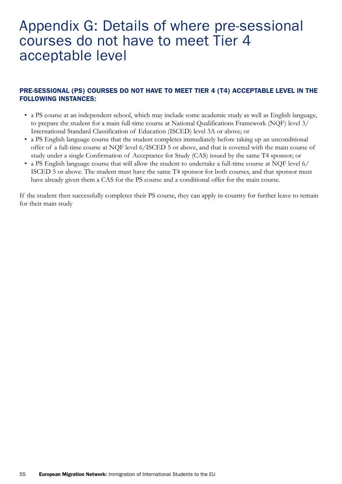### Appendix G: Details of where pre-sessional courses do not have to meet Tier 4 acceptable level

### PRE-SESSIONAL (PS) COURSES DO NOT HAVE TO MEET TIER 4 (T4) ACCEPTABLE LEVEL IN THE FOLLOWING INSTANCES:

- a PS course at an independent school, which may include some academic study as well as English language, to prepare the student for a main full-time course at National Qualifications Framework (NQF) level 3/ International Standard Classification of Education (ISCED) level 3A or above; or
- a PS English language course that the student completes immediately before taking up an unconditional offer of a full-time course at NQF level 6/ISCED 5 or above, and that is covered with the main course of study under a single Confirmation of Acceptance for Study (CAS) issued by the same T4 sponsor; or
- a PS English language course that will allow the student to undertake a full-time course at NQF level 6/ ISCED 5 or above. The student must have the same T4 sponsor for both courses, and that sponsor must have already given them a CAS for the PS course and a conditional offer for the main course.

If the student then successfully completes their PS course, they can apply in-country for further leave to remain for their main study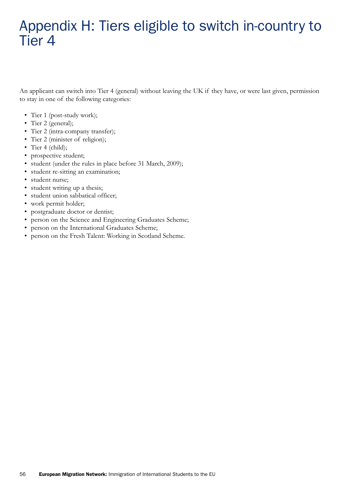# Appendix H: Tiers eligible to switch in-country to Tier 4

An applicant can switch into Tier 4 (general) without leaving the UK if they have, or were last given, permission to stay in one of the following categories:

- Tier 1 (post-study work);
- Tier 2 (general);
- Tier 2 (intra-company transfer);
- Tier 2 (minister of religion);
- Tier 4 (child);
- prospective student;
- student (under the rules in place before 31 March, 2009);
- • student re-sitting an examination;
- student nurse;
- student writing up a thesis;
- • student union sabbatical officer;
- work permit holder;
- postgraduate doctor or dentist;
- person on the Science and Engineering Graduates Scheme;
- person on the International Graduates Scheme;
- person on the Fresh Talent: Working in Scotland Scheme.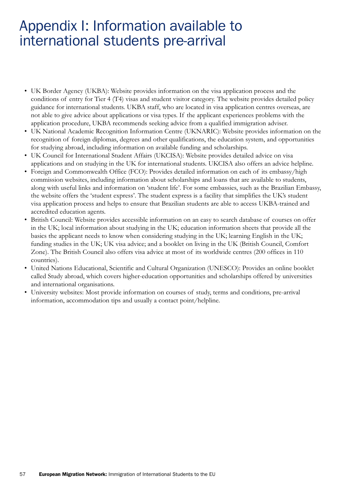## Appendix I: Information available to international students pre-arrival

- UK Border Agency (UKBA): Website provides information on the visa application process and the conditions of entry for Tier 4 (T4) visas and student visitor category. The website provides detailed policy guidance for international students. UKBA staff, who are located in visa application centres overseas, are not able to give advice about applications or visa types. If the applicant experiences problems with the application procedure, UKBA recommends seeking advice from a qualified immigration adviser.
- • UK National Academic Recognition Information Centre (UKNARIC): Website provides information on the recognition of foreign diplomas, degrees and other qualifications, the education system, and opportunities for studying abroad, including information on available funding and scholarships.
- UK Council for International Student Affairs (UKCISA): Website provides detailed advice on visa applications and on studying in the UK for international students. UKCISA also offers an advice helpline.
- Foreign and Commonwealth Office (FCO): Provides detailed information on each of its embassy/high commission websites, including information about scholarships and loans that are available to students, along with useful links and information on 'student life'. For some embassies, such as the Brazilian Embassy, the website offers the 'student express'. The student express is a facility that simplifies the UK's student visa application process and helps to ensure that Brazilian students are able to access UKBA-trained and accredited education agents.
- • British Council: Website provides accessible information on an easy to search database of courses on offer in the UK; local information about studying in the UK; education information sheets that provide all the basics the applicant needs to know when considering studying in the UK; learning English in the UK; funding studies in the UK; UK visa advice; and a booklet on living in the UK (British Council, Comfort Zone). The British Council also offers visa advice at most of its worldwide centres (200 offices in 110 countries).
- • United Nations Educational, Scientific and Cultural Organization (UNESCO): Provides an online booklet called Study abroad, which covers higher-education opportunities and scholarships offered by universities and international organisations.
- • University websites: Most provide information on courses of study, terms and conditions, pre-arrival information, accommodation tips and usually a contact point/helpline.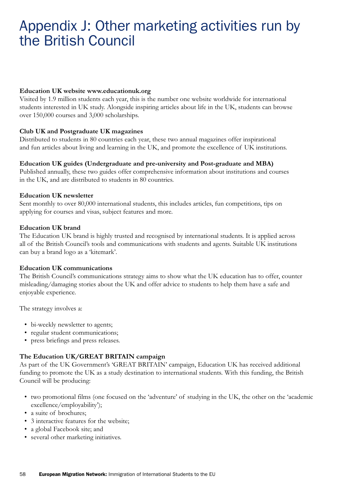## Appendix J: Other marketing activities run by the British Council

#### **Education UK website <www.educationuk.org>**

Visited by 1.9 million students each year, this is the number one website worldwide for international students interested in UK study. Alongside inspiring articles about life in the UK, students can browse over 150,000 courses and 3,000 scholarships.

#### **Club UK and Postgraduate UK magazines**

Distributed to students in 80 countries each year, these two annual magazines offer inspirational and fun articles about living and learning in the UK, and promote the excellence of UK institutions.

#### **Education UK guides (Undergraduate and pre-university and Post-graduate and MBA)**

Published annually, these two guides offer comprehensive information about institutions and courses in the UK, and are distributed to students in 80 countries.

#### **Education UK newsletter**

Sent monthly to over 80,000 international students, this includes articles, fun competitions, tips on applying for courses and visas, subject features and more.

#### **Education UK brand**

The Education UK brand is highly trusted and recognised by international students. It is applied across all of the British Council's tools and communications with students and agents. Suitable UK institutions can buy a brand logo as a 'kitemark'.

#### **Education UK communications**

The British Council's communications strategy aims to show what the UK education has to offer, counter misleading/damaging stories about the UK and offer advice to students to help them have a safe and enjoyable experience.

The strategy involves a:

- bi-weekly newsletter to agents;
- regular student communications;
- • press briefings and press releases.

#### **The Education UK/GREAT BRITAIN campaign**

As part of the UK Government's 'GREAT BRITAIN' campaign, Education UK has received additional funding to promote the UK as a study destination to international students. With this funding, the British Council will be producing:

- • two promotional films (one focused on the 'adventure' of studying in the UK, the other on the 'academic excellence/employability');
- a suite of brochures;
- 3 interactive features for the website;
- a global Facebook site; and
- several other marketing initiatives.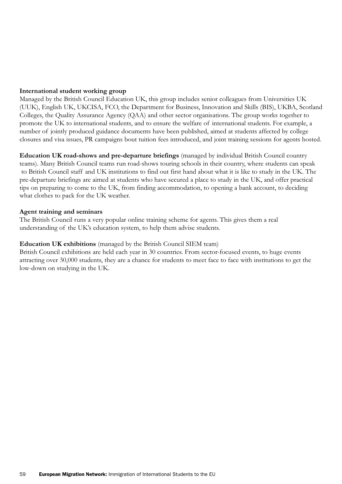#### **International student working group**

Managed by the British Council Education UK, this group includes senior colleagues from Universities UK (UUK), English UK, UKCISA, FCO, the Department for Business, Innovation and Skills (BIS), UKBA, Scotland Colleges, the Quality Assurance Agency (QAA) and other sector organisations. The group works together to promote the UK to international students, and to ensure the welfare of international students. For example, a number of jointly produced guidance documents have been published, aimed at students affected by college closures and visa issues, PR campaigns bout tuition fees introduced, and joint training sessions for agents hosted.

**Education UK road-shows and pre-departure briefings** (managed by individual British Council country teams). Many British Council teams run road-shows touring schools in their country, where students can speak to British Council staff and UK institutions to find out first hand about what it is like to study in the UK. The pre-departure briefings are aimed at students who have secured a place to study in the UK, and offer practical tips on preparing to come to the UK, from finding accommodation, to opening a bank account, to deciding what clothes to pack for the UK weather.

#### **Agent training and seminars**

The British Council runs a very popular online training scheme for agents. This gives them a real understanding of the UK's education system, to help them advise students.

#### **Education UK exhibitions** (managed by the British Council SIEM team)

British Council exhibitions are held each year in 30 countries. From sector-focused events, to huge events attracting over 30,000 students, they are a chance for students to meet face to face with institutions to get the low-down on studying in the UK.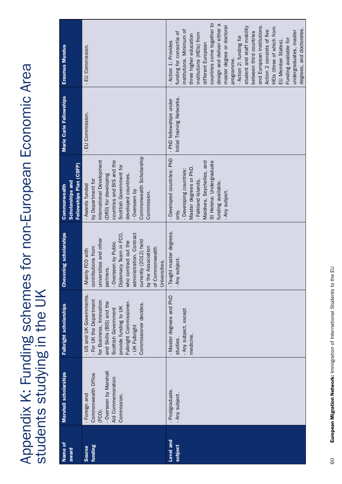Appendix K: Funding schemes for non-European Economic Area Appendix K: Funding schemes for non-European Economic Area<br>students studying in the UK students studying in the UK

| Name of<br>award         | <b>Marshall scholarships</b>                                                                                 | Fulbright scholarships                                                                                                                                                                                                            | <b>Chevening scholarships</b>                                                                                                                                                                                                                                           | Fellowships Plan (CSFP)<br><b>Scholarships and</b><br>Commonwealth                                                                                                                                                                     | Marie Curie Fellowships                               | Erasmus Mundus                                                                                                                                                                                                                                                                                                                                                                                                                                                                                                                                    |
|--------------------------|--------------------------------------------------------------------------------------------------------------|-----------------------------------------------------------------------------------------------------------------------------------------------------------------------------------------------------------------------------------|-------------------------------------------------------------------------------------------------------------------------------------------------------------------------------------------------------------------------------------------------------------------------|----------------------------------------------------------------------------------------------------------------------------------------------------------------------------------------------------------------------------------------|-------------------------------------------------------|---------------------------------------------------------------------------------------------------------------------------------------------------------------------------------------------------------------------------------------------------------------------------------------------------------------------------------------------------------------------------------------------------------------------------------------------------------------------------------------------------------------------------------------------------|
| funding<br><b>Source</b> | - Overseen by Marshall<br>Commonwealth Office<br>Aid Commemoration<br>- Foreign and<br>Commission.<br>(FCO). | - US and UK Governments.<br>- For UK the Department<br>for Business, Innovation<br>Fulbright Commissioner.<br>and Skills (BIS) and the<br>Commissioner decides.<br>provide funding to UK<br>Scottish Government<br>- UK Fulbright | Diplomacy Team in FCO,<br>administration. Contract<br>universities and other<br>currently (2012) held<br>who contract out the<br>- Overseen by Public<br>by the Association<br>contributions from<br>of Commonwealth<br>- Mainly FCO with<br>Universities.<br>partners. | Commonwealth Scholarship<br>International Development<br>countries and BIS and the<br>Scottish Government for<br>developed countries.<br>(DfID) for developing<br>by Department for<br>- Awards funded<br>- Overseen by<br>Commission. | EU Commission.                                        | EU Commission.                                                                                                                                                                                                                                                                                                                                                                                                                                                                                                                                    |
| Level and<br>subject     | - Postgraduate.<br>- Any subject.                                                                            | - Master degrees and PhD<br>- Any subject, except<br>medicine.<br>studies.                                                                                                                                                        | - Taught master degrees.<br>. Any subject.                                                                                                                                                                                                                              | - Developed countries: PhD<br>Maldives, Seychelles, and<br>St Helena: Undergraduate<br>Master degrees or PhD.<br>- Developing countries:<br>- Falkland Islands,<br>funding available.<br>- Any subject.<br>only.                       | Initial Training Networks.<br>- PhD fellowships under | countries come together to<br>design and deliver either a<br>master degree or doctoral<br>and European institutions.<br>student and staff mobility<br>HEIs (three of which from<br>degrees, and doctorates.<br>institutions. Minimum of<br>Action 2 consists of five<br>between third countries<br>undergraduates, master<br>funding for consortia of<br>institutions (HEIs) from<br>three higher education<br>- Action 2: funding for<br>Funding available for<br>EU Member States).<br>- Action 1: Provides<br>different European<br>programme. |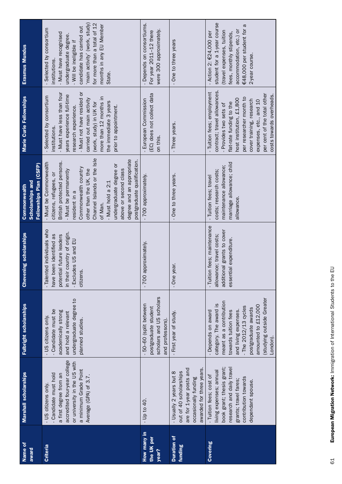| Name of<br>award                   | <b>Marshall scholarships</b>                                                                                                                                                             | Fulbright scholarships                                                                                                                                                                                                                   | <b>Chevening scholarships</b>                                                                                                                              | Fellowships Plan (CSFP)<br><b>Scholarships and</b><br><b>Commonwealth</b>                                                                                                                                                                                                                                                                                | Marie Curie Fellowships                                                                                                                                                                                                                                                                         | Erasmus Mundus                                                                                                                                                                                                                                         |
|------------------------------------|------------------------------------------------------------------------------------------------------------------------------------------------------------------------------------------|------------------------------------------------------------------------------------------------------------------------------------------------------------------------------------------------------------------------------------------|------------------------------------------------------------------------------------------------------------------------------------------------------------|----------------------------------------------------------------------------------------------------------------------------------------------------------------------------------------------------------------------------------------------------------------------------------------------------------------------------------------------------------|-------------------------------------------------------------------------------------------------------------------------------------------------------------------------------------------------------------------------------------------------------------------------------------------------|--------------------------------------------------------------------------------------------------------------------------------------------------------------------------------------------------------------------------------------------------------|
| <b>Criteria</b>                    | accredited four-year college<br>or university in the US with<br>a minimum Grade Point<br>- Candidate must hold<br>a first degree from an<br>Average (GPA) of 3.7.<br>- US citizens only. | undergraduate degree to<br>- Candidate must be<br>academically strong<br>and hold a relevant<br>- US citizens only.<br>planned studies.                                                                                                  | - Talented individuals who<br>in their country of origin.<br>potential future leaders<br>been identified as<br>- Excludes US and EU<br>citizens.<br>have I | Channel Islands or the Isle<br>degree and an appropriate<br>postgraduate qualification.<br>British protected persons.<br>- Must be Commonwealth<br>undergraduate degree or<br>Commonwealth country<br>above or second class<br>other than the UK, the<br>- Must be permanently<br>citizens, refugees, or<br>- Must hold a 2:1<br>esident in a<br>of Man. | - Must not have resided or<br>- Must have less than four<br>years experience full-time<br>- Selected by consortium<br>more than 12 months in<br>carried out main activity<br>the immediate 3 years<br>(work, study) in UK for<br>prior to appointment.<br>research experience.<br>institutions. | 'main activity' (work, study)<br>for more than a total of 12<br>months in any EU Member<br>candidate has carried out<br>Selected by consortium<br>- Must have recognised<br>undergraduate degree.<br>- Will be ineligible if<br>institutions<br>State. |
| How many in<br>the UK per<br>year? | $-$ Up to 40.                                                                                                                                                                            | scholars and US scholars<br>- 50–60 (split between<br>postgraduate student<br>and professors).                                                                                                                                           | approximately.<br>700                                                                                                                                      | - 700 approximately.                                                                                                                                                                                                                                                                                                                                     | (EC) does not collect data<br>- European Commission<br>on this.                                                                                                                                                                                                                                 | - Depends on consortiums.<br>were 300 approximately.<br>For year 2011-12 there                                                                                                                                                                         |
| <b>Duration of</b><br>funding      | awarded for three years.<br>are for 1-year posts and<br>out of 40 scholarships<br>- Usually 2 years but 8<br>occasionally funding                                                        | - First year of study.                                                                                                                                                                                                                   | year.<br>$-$ One                                                                                                                                           | One to three years.                                                                                                                                                                                                                                                                                                                                      | - Three years.                                                                                                                                                                                                                                                                                  | - One to three years                                                                                                                                                                                                                                   |
| Covering                           | research and daily travel<br>book grant; thesis grant;<br>living expenses; annual<br>- Tuition fees; cost of<br>contribution towards<br>grants; travel fares;<br>dependant spouse.       | (studying outside Greater<br>meant as a contribution<br>category. The award is<br>amounted to £12,000<br>- The $2012/13$ cycles<br>postgraduate awards<br>and living expenses.<br>- Depends on award<br>towards tuition fees<br>London). | Tuition fees; maintenance<br>additional grants to cover<br>allowance; travel costs;<br>essential expenditure.                                              | marriage allowance; child<br>maintenance allowance;<br>costs; research costs;<br>- Tuition fees; travel<br>allowance                                                                                                                                                                                                                                     | contract; travel allowances<br>- Tuition fees; employment<br>per cent of the total other<br>costs towards overheads.<br>per researcher month to<br>host institution, £1,800<br>cover training, research<br>expenses, etc., and 10<br>flat-rate funding to the<br>- Provides two sets of         | student for a 1-year course<br>€48,000 per student for a<br>accommodation, etc.) or<br>(travel expenses, tuition<br>- Action 2: $E24,000$ per<br>fees, monthly stipends,<br>2-year course.                                                             |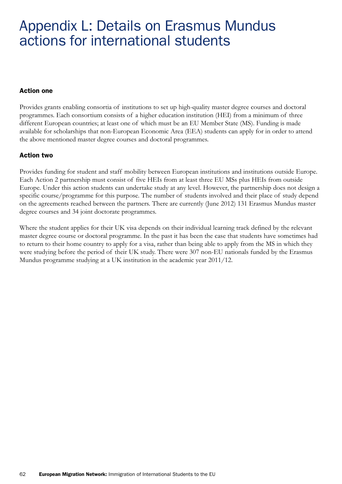# Appendix L: Details on Erasmus Mundus actions for international students

### Action one

Provides grants enabling consortia of institutions to set up high-quality master degree courses and doctoral programmes. Each consortium consists of a higher education institution (HEI) from a minimum of three different European countries; at least one of which must be an EU Member State (MS). Funding is made available for scholarships that non-European Economic Area (EEA) students can apply for in order to attend the above mentioned master degree courses and doctoral programmes.

### Action two

Provides funding for student and staff mobility between European institutions and institutions outside Europe. Each Action 2 partnership must consist of five HEIs from at least three EU MSs plus HEIs from outside Europe. Under this action students can undertake study at any level. However, the partnership does not design a specific course/programme for this purpose. The number of students involved and their place of study depend on the agreements reached between the partners. There are currently (June 2012) 131 Erasmus Mundus master degree courses and 34 joint doctorate programmes.

Where the student applies for their UK visa depends on their individual learning track defined by the relevant master degree course or doctoral programme. In the past it has been the case that students have sometimes had to return to their home country to apply for a visa, rather than being able to apply from the MS in which they were studying before the period of their UK study. There were 307 non-EU nationals funded by the Erasmus Mundus programme studying at a UK institution in the academic year 2011/12.